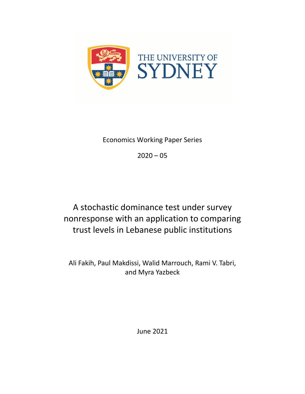

Economics Working Paper Series

 $2020 - 05$ 

A stochastic dominance test under survey nonresponse with an application to comparing trust levels in Lebanese public institutions

Ali Fakih, Paul Makdissi, Walid Marrouch, Rami V. Tabri, and Myra Yazbeck

June 2021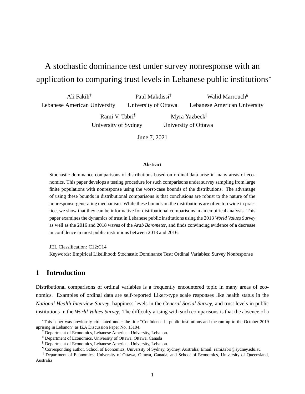# A stochastic dominance test under survey nonresponse with an application to comparing trust levels in Lebanese public institutions\*

Ali Fakih† Lebanese American University Paul Makdissi‡ University of Ottawa Walid Marrouch<sup>§</sup> Lebanese American University

> Rami V. Tabri¶ University of Sydney

Myra Yazbeck<sup>||</sup> University of Ottawa

June 7, 2021

#### **Abstract**

Stochastic dominance comparisons of distributions based on ordinal data arise in many areas of economics. This paper develops a testing procedure for such comparisons under survey sampling from large finite populations with nonresponse using the worst-case bounds of the distributions. The advantage of using these bounds in distributional comparisons is that conclusions are robust to the nature of the nonresponse-generating mechanism. While these bounds on the distributions are often too wide in practice, we show that they can be informative for distributional comparisons in an empirical analysis. This paper examines the dynamics of trust in Lebanese public institutions using the 2013 *World Values Survey* as well as the 2016 and 2018 waves of the *Arab Barometer*, and finds convincing evidence of a decrease in confidence in most public institutions between 2013 and 2016.

JEL Classification: C12;C14

Keywords: Empirical Likelihood; Stochastic Dominance Test; Ordinal Variables; Survey Nonresponse

# **1 Introduction**

Distributional comparisons of ordinal variables is a frequently encountered topic in many areas of economics. Examples of ordinal data are self-reported Likert-type scale responses like health status in the *National Health Interview Survey*, happiness levels in the *General Social Survey*, and trust levels in public institutions in the *World Values Survey*. The difficulty arising with such comparisons is that the absence of a

<sup>\*</sup>This paper was previously circulated under the title "Confidence in public institutions and the run up to the October 2019 uprising in Lebanon" as IZA Discussion Paper No. 13104.

<sup>†</sup> Department of Economics, Lebanese American University, Lebanon.

<sup>‡</sup> Department of Economics, University of Ottawa, Ottawa, Canada

<sup>§</sup> Department of Economics, Lebanese American University, Lebanon.

<sup>¶</sup> Corresponding author. School of Economics, University of Sydney, Sydney, Australia; Email: rami.tabri@sydney.edu.au

<sup>||</sup> Department of Economics, University of Ottawa, Ottawa, Canada, and School of Economics, University of Queensland, Australia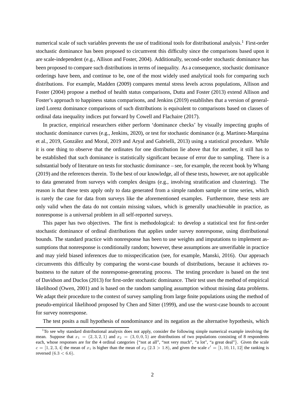numerical scale of such variables prevents the use of traditional tools for distributional analysis.<sup>1</sup> First-order stochastic dominance has been proposed to circumvent this difficulty since the comparisons based upon it are scale-independent (e.g., Allison and Foster, 2004). Additionally, second-order stochastic dominance has been proposed to compare such distributions in terms of inequality. As a consequence, stochastic dominance orderings have been, and continue to be, one of the most widely used analytical tools for comparing such distributions. For example, Madden (2009) compares mental stress levels across populations, Allison and Foster (2004) propose a method of health status comparisons, Dutta and Foster (2013) extend Allison and Foster's approach to happiness status comparisons, and Jenkins (2019) establishes that a version of generalized Lorenz dominance comparisons of such distributions is equivalent to comparisons based on classes of ordinal data inequality indices put forward by Cowell and Flachaire (2017).

In practice, empirical researchers either perform 'dominance checks' by visually inspecting graphs of stochastic dominance curves (e.g., Jenkins, 2020), or test for stochastic dominance (e.g. Martinez-Marquina et al., 2019, González and Moral, 2019 and Aryal and Gabrielli, 2013) using a statistical procedure. While it is one thing to observe that the ordinates for one distribution lie above that for another, it still has to be established that such dominance is statistically significant because of error due to sampling. There is a substantial body of literature on tests for stochastic dominance – see, for example, the recent book by Whang (2019) and the references therein. To the best of our knowledge, all of these tests, however, are not applicable to data generated from surveys with complex designs (e.g., involving stratification and clustering). The reason is that these tests apply only to data generated from a simple random sample or time series, which is rarely the case for data from surveys like the aforementioned examples. Furthermore, these tests are only valid when the data do not contain missing values, which is generally unachievable in practice, as nonresponse is a universal problem in all self-reported surveys.

This paper has two objectives. The first is methodological: to develop a statistical test for first-order stochastic dominance of ordinal distributions that applies under survey nonresponse, using distributional bounds. The standard practice with nonresponse has been to use weights and imputations to implement assumptions that nonresponse is conditionally random; however, these assumptions are unverifiable in practice and may yield biased inferences due to misspecification (see, for example, Manski, 2016). Our approach circumvents this difficulty by comparing the worst-case bounds of distributions, because it achieves robustness to the nature of the nonresponse-generating process. The testing procedure is based on the test of Davidson and Duclos (2013) for first-order stochastic dominance. Their test uses the method of empirical likelihood (Owen, 2001) and is based on the random sampling assumption without missing data problems. We adapt their procedure to the context of survey sampling from large finite populations using the method of pseudo-empirical likelihood proposed by Chen and Sitter (1999), and use the worst-case bounds to account for survey nonresponse.

The test posits a null hypothesis of nondominance and its negation as the alternative hypothesis, which

<sup>&</sup>lt;sup>1</sup>To see why standard distributional analysis does not apply, consider the following simple numerical example involving the mean. Suppose that  $x_1 = (2, 3, 2, 1)$  and  $x_2 = (3, 0, 0, 5)$  are distributions of two populations consisting of 8 respondents each, whose responses are for the 4 ordinal categories {"not at all", "not very much", "a lot", "a great deal"}. Given the scale  $c = [1, 2, 3, 4]$  the mean of  $x_1$  is higher than the mean of  $x_2$  (2.3 > 1.8), and given the scale  $c' = [1, 10, 11, 12]$  the ranking is reversed  $(6.3 < 6.6)$ .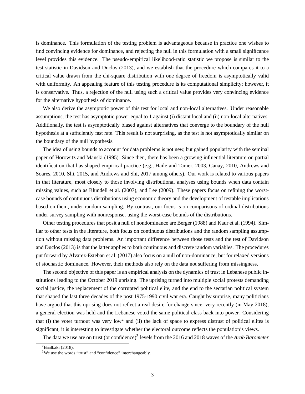is dominance. This formulation of the testing problem is advantageous because in practice one wishes to find convincing evidence for dominance, and rejecting the null in this formulation with a small significance level provides this evidence. The pseudo-empirical likelihood-ratio statistic we propose is similar to the test statistic in Davidson and Duclos (2013), and we establish that the procedure which compares it to a critical value drawn from the chi-square distribution with one degree of freedom is asymptotically valid with uniformity. An appealing feature of this testing procedure is its computational simplicity; however, it is conservative. Thus, a rejection of the null using such a critical value provides very convincing evidence for the alternative hypothesis of dominance.

We also derive the asymptotic power of this test for local and non-local alternatives. Under reasonable assumptions, the test has asymptotic power equal to 1 against (i) distant local and (ii) non-local alternatives. Additionally, the test is asymptotically biased against alternatives that converge to the boundary of the null hypothesis at a sufficiently fast rate. This result is not surprising, as the test is not asymptotically similar on the boundary of the null hypothesis.

The idea of using bounds to account for data problems is not new, but gained popularity with the seminal paper of Horowitz and Manski (1995). Since then, there has been a growing influential literature on partial identification that has shaped empirical practice (e.g., Haile and Tamer, 2003, Canay, 2010, Andrews and Soares, 2010, Shi, 2015, and Andrews and Shi, 2017 among others). Our work is related to various papers in that literature, most closely to those involving distributional analyses using bounds when data contain missing values, such as Blundell et al. (2007), and Lee (2009). These papers focus on refining the worstcase bounds of continuous distributions using economic theory and the development of testable implications based on them, under random sampling. By contrast, our focus is on comparisons of ordinal distributions under survey sampling with nonresponse, using the worst-case bounds of the distributions.

Other testing procedures that posit a null of nondominance are Berger (1988) and Kaur et al. (1994). Similar to other tests in the literature, both focus on continuous distributions and the random sampling assumption without missing data problems. An important difference between those tests and the test of Davidson and Duclos (2013) is that the latter applies to both continuous and discrete random variables. The procedures put forward by Alvarez-Esteban et al. (2017) also focus on a null of non-dominance, but for relaxed versions of stochastic dominance. However, their methods also rely on the data not suffering from missingness.

The second objective of this paper is an empirical analysis on the dynamics of trust in Lebanese public institutions leading to the October 2019 uprising. The uprising turned into multiple social protests demanding social justice, the replacement of the corrupted political elite, and the end to the sectarian political system that shaped the last three decades of the post 1975-1990 civil war era. Caught by surprise, many politicians have argued that this uprising does not reflect a real desire for change since, very recently (in May 2018), a general election was held and the Lebanese voted the same political class back into power. Considering that (i) the voter turnout was very low<sup>2</sup> and (ii) the lack of space to express distrust of political elites is significant, it is interesting to investigate whether the electoral outcome reflects the population's views.

The data we use are on trust (or confidence)<sup>3</sup> levels from the 2016 and 2018 waves of the *Arab Barometer* 

 ${}^{2}$ Baalbaki (2018).

<sup>&</sup>lt;sup>3</sup>We use the words "trust" and "confidence" interchangeably.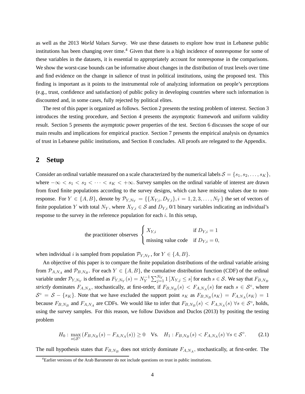as well as the 2013 *World Values Survey*. We use these datasets to explore how trust in Lebanese public institutions has been changing over time.<sup>4</sup> Given that there is a high incidence of nonresponse for some of these variables in the datasets, it is essential to appropriately account for nonresponse in the comparisons. We show the worst-case bounds can be informative about changes in the distribution of trust levels over time and find evidence on the change in salience of trust in political institutions, using the proposed test. This finding is important as it points to the instrumental role of analyzing information on people's perceptions (e.g., trust, confidence and satisfaction) of public policy in developing countries where such information is discounted and, in some cases, fully rejected by political elites.

The rest of this paper is organized as follows. Section 2 presents the testing problem of interest. Section 3 introduces the testing procedure, and Section 4 presents the asymptotic framework and uniform validity result. Section 5 presents the asymptotic power properties of the test. Section 6 discusses the scope of our main results and implications for empirical practice. Section 7 presents the empirical analysis on dynamics of trust in Lebanese public institutions, and Section 8 concludes. All proofs are relegated to the Appendix.

## **2 Setup**

Consider an ordinal variable measured on a scale characterized by the numerical labels  $S = \{s_1, s_2, \ldots, s_K\}$ , where  $-\infty < s_1 < s_2 < \cdots < s_K < +\infty$ . Survey samples on the ordinal variable of interest are drawn from fixed finite populations according to the survey designs, which can have missing values due to nonresponse. For  $Y \in \{A, B\}$ , denote by  $\mathcal{P}_{Y, N_Y} = \{\{X_{Y,i}, D_{Y,i}\}, i = 1, 2, 3, \ldots, N_Y\}$  the set of vectors of finite population Y with total  $N_Y$ , where  $X_{Y,i} \in S$  and  $D_{Y,i}$  0/1 binary variables indicating an individual's response to the survey in the reference population for each  $i$ . In this setup,

the practitioner observes 
$$
\begin{cases} X_{Y,i} & \text{if } D_{Y,i} = 1 \\ \text{missing value code} & \text{if } D_{Y,i} = 0, \end{cases}
$$

when individual *i* is sampled from population  $\mathcal{P}_{Y,N_Y}$ , for  $Y \in \{A, B\}$ .

An objective of this paper is to compare the finite population distributions of the ordinal variable arising from  $\mathcal{P}_{A,N_A}$  and  $\mathcal{P}_{B,N_B}$ . For each  $Y \in \{A, B\}$ , the cumulative distribution function (CDF) of the ordinal variable under  $\mathcal{P}_{Y,N_Y}$  is defined as  $F_{Y,N_Y}(s) = N_Y^{-1} \sum_{j=1}^{N_Y} 1 \left[ X_{Y,j} \leq s \right]$  for each  $s \in \mathcal{S}$ . We say that  $F_{B,N_B}$ strictly dominates  $F_{A,N_A}$ , stochastically, at first-order, if  $F_{B,N_B}(s) < F_{A,N_A}(s)$  for each  $s \in S^{\circ}$ , where  $S^{\circ} = S - \{s_K\}$ . Note that we have excluded the support point  $s_K$  as  $F_{B,N_B}(s_K) = F_{A,N_A}(s_K) = 1$ because  $F_{B,N_B}$  and  $F_{A,N_A}$  are CDFs. We would like to infer that  $F_{B,N_B}(s) < F_{A,N_A}(s)$   $\forall s \in S^{\circ}$ , holds, using the survey samples. For this reason, we follow Davidson and Duclos (2013) by positing the testing problem

$$
H_0: \max_{s \in \mathcal{S}^\circ} (F_{B,N_B}(s) - F_{A,N_A}(s)) \ge 0 \quad \text{Vs.} \quad H_1: F_{B,N_B}(s) < F_{A,N_A}(s) \; \forall s \in \mathcal{S}^\circ. \tag{2.1}
$$

The null hypothesis states that  $F_{B,N_B}$  does not strictly dominate  $F_{A,N_A}$ , stochastically, at first-order. The

<sup>&</sup>lt;sup>4</sup>Earlier versions of the Arab Barometer do not include questions on trust in public institutions.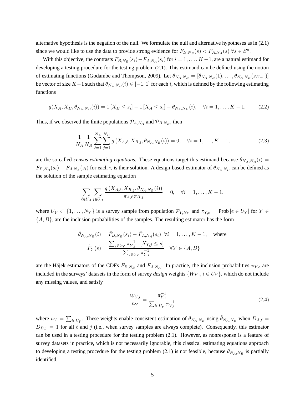alternative hypothesis is the negation of the null. We formulate the null and alternative hypotheses as in (2.1) since we would like to use the data to provide strong evidence for  $F_{B,N_B}(s) < F_{A,N_A}(s)$   $\forall s \in S^{\circ}$ .

With this objective, the contrasts  $F_{B,N_B}(s_i) - F_{A,N_A}(s_i)$  for  $i = 1, ..., K-1$ , are a natural estimand for developing a testing procedure for the testing problem (2.1). This estimand can be defined using the notion of estimating functions (Godambe and Thompson, 2009). Let  $\theta_{N_A,N_B} = [\theta_{N_A,N_B}(1), \dots, \theta_{N_A,N_B}(s_{K-1})]$ be vector of size  $K-1$  such that  $\theta_{N_A,N_B}(i) \in [-1,1]$  for each i, which is defined by the following estimating functions

$$
g(X_A, X_B, \theta_{N_A, N_B}(i)) = 1 [X_B \le s_i] - 1 [X_A \le s_i] - \theta_{N_A, N_B}(i), \quad \forall i = 1, ..., K - 1.
$$
 (2.2)

Thus, if we observed the finite populations  $\mathcal{P}_{A,N_A}$  and  $\mathcal{P}_{B,N_B}$ , then

$$
\frac{1}{N_A} \frac{1}{N_B} \sum_{\ell=1}^{N_A} \sum_{j=1}^{N_B} g\left(X_{A,\ell}, X_{B,j}, \theta_{N_A, N_B}(i)\right) = 0, \quad \forall i = 1, \dots, K-1,
$$
\n(2.3)

are the so-called *census estimating equations*. These equations target this estimand because  $\theta_{N_A,N_B}(i)$  =  $F_{B,N_B}(s_i) - F_{A,N_A}(s_i)$  for each i, is their solution. A design-based estimator of  $\theta_{N_A,N_B}$  can be defined as the solution of the sample estimating equation

$$
\sum_{\ell \in U_A} \sum_{j \in U_B} \frac{g(X_{A,\ell}, X_{B,j}, \theta_{N_A, N_B}(i))}{\pi_{A,\ell} \pi_{B,j}} = 0, \quad \forall i = 1, ..., K - 1,
$$

where  $U_Y \subset \{1, \ldots, N_Y\}$  is a survey sample from population  $\mathcal{P}_{Y,N_Y}$  and  $\pi_{Y,e} = \text{Prob}\left[e \in U_Y\right]$  for  $Y \in$  $\{A, B\}$ , are the inclusion probabilities of the samples. The resulting estimator has the form

$$
\hat{\theta}_{N_A, N_B}(i) = \hat{F}_{B, N_B}(s_i) - \hat{F}_{A, N_A}(s_i) \quad \forall i = 1, ..., K - 1, \quad \text{where}
$$
\n
$$
\hat{F}_Y(s) = \frac{\sum_{j \in U_Y} \pi_{Y,j}^{-1} 1 \left[ X_{Y,j} \le s \right]}{\sum_{j \in U_Y} \pi_{Y,j}^{-1}} \quad \forall Y \in \{A, B\}
$$

are the Hájek estimators of the CDFs  $F_{B,N_B}$  and  $F_{A,N_A}$ . In practice, the inclusion probabilities  $\pi_{Y,e}$  are included in the surveys' datasets in the form of survey *design* weights  $\{W_{Y,i}, i \in U_Y\}$ , which do not include any missing values, and satisfy

$$
\frac{W_{Y,i}}{n_Y} = \frac{\pi_{Y,i}^{-1}}{\sum_{i \in U_Y} \pi_{Y,i}^{-1}}
$$
\n(2.4)

where  $n_Y = \sum_{i \in U_Y}$ . These weights enable consistent estimation of  $\theta_{N_A,N_B}$  using  $\hat{\theta}_{N_A,N_B}$  when  $D_{A,\ell}$  $D_{B,j} = 1$  for all  $\ell$  and  $j$  (i.e., when survey samples are always complete). Consequently, this estimator can be used in a testing procedure for the testing problem (2.1). However, as nonresponse is a feature of survey datasets in practice, which is not necessarily ignorable, this classical estimating equations approach to developing a testing procedure for the testing problem (2.1) is not feasible, because  $\theta_{N_A,N_B}$  is partially identified.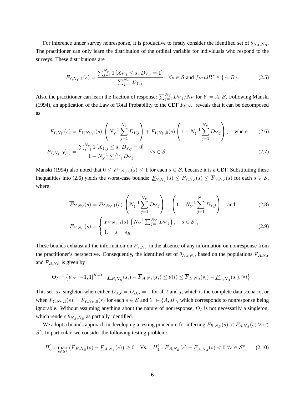For inference under survey nonresponse, it is productive to firstly consider the identified set of  $\theta_{N_A,N_B}$ . The practitioner can only learn the distribution of the ordinal variable for individuals who respond to the surveys. These distributions are

$$
F_{Y,N_Y,1}(s) = \frac{\sum_{j=1}^{N_Y} 1 \left[ X_{Y,j} \le s, \, D_{Y,j} = 1 \right]}{\sum_{j=1}^{N_Y} D_{Y,j}} \quad \forall s \in \mathcal{S} \text{ and } for all Y \in \{A, B\}. \tag{2.5}
$$

Also, the practitioner can learn the fraction of response:  $\sum_{j=1}^{N_Y} D_{Y,j}/N_Y$  for  $Y = A, B$ . Following Manski (1994), an application of the Law of Total Probability to the CDF  $F_{Y,N_Y}$  reveals that it can be decomposed as

$$
F_{Y,N_Y}(s) = F_{Y,N_Y,1}(s) \left(N_Y^{-1} \sum_{j=1}^{N_Y} D_{Y,j}\right) + F_{Y,N_Y,0}(s) \left(1 - N_Y^{-1} \sum_{j=1}^{N_Y} D_{Y,j}\right), \text{ where } (2.6)
$$

$$
F_{Y,N_Y,0}(s) = \frac{\sum_{j=1}^{N_Y} 1\left[X_{Y,j} \le s, D_{Y,j} = 0\right]}{1 - N_Y^{-1} \sum_{j=1}^{N_Y} D_{Y,j}} \quad \forall s \in \mathcal{S}.
$$
\n(2.7)

Manski (1994) also noted that  $0 \leq F_{Y,N_Y,0}(s) \leq 1$  for each  $s \in S$ , because it is a CDF. Substituting these inequalities into (2.6) yields the worst-case bounds:  $\underline{F}_{Y,N_Y}(s) \leq F_{Y,N_Y}(s) \leq F_{Y,N_Y}(s)$  for each  $s \in S$ , where

$$
\overline{F}_{Y,N_Y}(s) = F_{Y,N_Y,1}(s) \left(N_Y^{-1} \sum_{j=1}^{N_Y} D_{Y,j}\right) + \left(1 - N_Y^{-1} \sum_{j=1}^{N_Y} D_{Y,j}\right) \text{ and } (2.8)
$$

$$
\underline{F}_{Y,N_Y}(s) = \begin{cases} F_{Y,N_Y,1}(s) \left( N_Y^{-1} \sum_{j=1}^{N_Y} D_{Y,j} \right), & s \in \mathcal{S}^\circ, \\ 1, & s = s_K. \end{cases}
$$
\n(2.9)

These bounds exhaust all the information on  $F_{Y,N_Y}$  in the absence of any information on nonresponse from the practitioner's perspective. Consequently, the identified set of  $\theta_{N_A,N_B}$  based on the populations  $\mathcal{P}_{A,N_A}$ and  $\mathcal{P}_{B,N_B}$  is given by

$$
\Theta_I = \left\{ \theta \in [-1,1]^{K-1} : \underline{F}_{B,N_B}(s_i) - \overline{F}_{A,N_A}(s_i) \leq \theta(i) \leq \overline{F}_{B,N_B}(s_i) - \underline{F}_{A,N_A}(s_i), \forall i \right\}.
$$

This set is a singleton when either  $D_{A,\ell} = D_{B,j} = 1$  for all  $\ell$  and j, which is the complete data scenario, or when  $F_{Y,N_Y,1}(s) = F_{Y,N_Y,0}(s)$  for each  $s \in S$  and  $Y \in \{A, B\}$ , which corresponds to nonresponse being ignorable. Without assuming anything about the nature of nonresponse,  $\Theta_I$  is not necessarily a singleton, which renders  $\theta_{N_A,N_B}$  as partially identified.

We adopt a bounds approach in developing a testing procedure for inferring  $F_{B,N_B}(s) < F_{A,N_A}(s)$   $\forall s \in$  $S^{\circ}$ . In particular, we consider the following testing problem:

$$
H_0^1: \max_{s \in \mathcal{S}^\circ} (\overline{F}_{B,N_B}(s) - \underline{F}_{A,N_A}(s)) \ge 0 \quad \text{Vs.} \quad H_1^1: \overline{F}_{B,N_B}(s) - \underline{F}_{A,N_A}(s) < 0 \,\forall s \in \mathcal{S}^\circ. \tag{2.10}
$$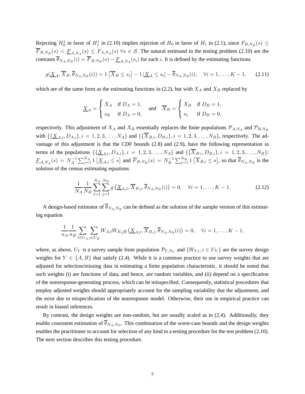Rejecting  $H_0^1$  in favor of  $H_1^1$  in (2.10) implies rejection of  $H_0$  in favor of  $H_1$  in (2.1), since  $F_{B,N_B}(s) \le$  $F_{B,N_B}(s) < E_{A,N_A}(s) \le F_{A,N_A}(s)$   $\forall s \in S$ . The natural estimand in the testing problem (2.10) are the contrasts  $\theta_{N_A,N_B}(i) = F_{B,N_B}(s) - \underline{F}_{A,N_A}(s_i)$  for each *i*. It is defined by the estimating functions

$$
g(\underline{X}_A, \overline{X}_B, \overline{\theta}_{N_A, N_B}(i)) = 1 \left[ \overline{X}_B \le s_i \right] - 1 \left[ \underline{X}_A \le s_i \right] - \overline{\theta}_{N_A, N_B}(i), \quad \forall i = 1, \dots, K - 1,
$$
 (2.11)

which are of the same form as the estimating functions in (2.2), but with  $X_A$  and  $X_B$  replaced by

$$
\underline{X}_A = \begin{cases} X_A & \text{if } D_A = 1, \\ s_K & \text{if } D_A = 0, \end{cases} \quad \text{and} \quad \overline{X}_B = \begin{cases} X_B & \text{if } D_B = 1, \\ s_1 & \text{if } D_B = 0, \end{cases}
$$

respectively. This adjustment of  $X_A$  and  $X_B$  essentially replaces the finite populations  $\mathcal{P}_{A,N_A}$  and  $\mathcal{P}_{B,N_B}$ with  $\{\{\underline{X}_{A,i}, D_{A,i}\}, i = 1, 2, 3, ..., N_A\}$  and  $\{\{\overline{X}_{B,i}, D_{B,i}\}, i = 1, 2, 3, ..., N_B\}$ , respectively. The advantage of this adjustment is that the CDF bounds (2.8) and (2.9), have the following representation in terms of the populations  $\{\{\underline{X}_{A,i}, D_{A,i}\}, i = 1, 2, 3, ..., N_A\}$  and  $\{\{\overline{X}_{B,i}, D_{B,i}\}, i = 1, 2, 3, ..., N_B\}$ :  $F_{A,N_A}(s) \, = \, N_A^{-1}$  $\sum_{j=1}^{N_A} 1\left[\underline{X}_{A,i} \leq s\right]$  and  $\overline{F}_{B,N_B}(s) = N_B^{-1}$  $\sum_{j=1}^{N_B} 1 \left[ \overline{X}_{B,i} \leq s \right]$ , so that  $\overline{\theta}_{N_A,N_B}$  is the solution of the census estimating equations

$$
\frac{1}{N_A} \frac{1}{N_B} \sum_{\ell=1}^{N_A} \sum_{j=1}^{N_B} g\left(\underline{X}_{A,\ell}, \overline{X}_{B,j}, \overline{\theta}_{N_A, N_B}(i)\right) = 0, \quad \forall i = 1, \dots, K-1.
$$
 (2.12)

A design-based estimator of  $\theta_{N_A,N_B}$  can be defined as the solution of the sample version of this estimating equation

$$
\frac{1}{n_A} \frac{1}{n_B} \sum_{\ell \in U_A} \sum_{j \in U_B} W_{A,\ell} W_{B,j} g\left(\underline{X}_{A,\ell}, \overline{X}_{B,j}, \overline{\theta}_{N_A, N_B}(i)\right) = 0, \quad \forall i = 1, \dots, K-1,
$$

where, as above,  $U_Y$  is a survey sample from population  $\mathcal{P}_{Y,N_Y}$  and  $\{W_{Y,i}, i \in U_Y\}$  are the survey design weights for  $Y \in \{A, B\}$  that satisfy (2.4). While it is a common practice to use survey weights that are adjusted for selection/missing data in estimating a finite population characteristic, it should be noted that such weights (i) are functions of data, and hence, are random variables, and (ii) depend on a specification of the nonresponse-generating process, which can be misspecified. Consequently, statistical procedures that employ adjusted weights should appropriately account for the sampling variability due the adjustment, and the error due to mispecification of the nonresponse model. Otherwise, their use in empirical practice can result in biased inferences.

By contrast, the design weights are non-random, but are usually scaled as in (2.4). Additionally, they enable consistent estimation of  $\theta_{N_A,N_B}$ . This combination of the worst-case bounds and the design weights enables the practitioner to account for selection of any kind in a testing procedure for the test problem (2.10). The next section describes this testing procedure.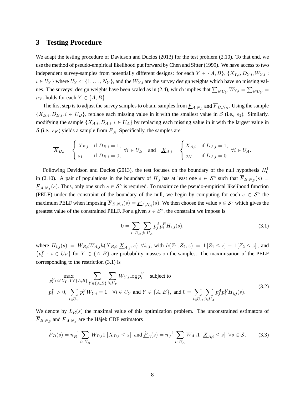## **3 Testing Procedure**

We adapt the testing procedure of Davidson and Duclos (2013) for the test problem (2.10). To that end, we use the method of pseudo-empirical likelihood put forward by Chen and Sitter (1999). We have access to two independent survey-samples from potentially different designs: for each  $Y \in \{A, B\}$ ,  $\{X_{Y,i}, D_{Y,i}, W_{Y,i} :$  $i \in U_Y$ } where  $U_Y \subset \{1, \ldots, N_Y\}$ , and the  $W_{Y,i}$  are the survey design weights which have no missing values. The surveys' design weights have been scaled as in (2.4), which implies that  $\sum_{i\in U_Y} W_{Y,i} = \sum_{i\in U_Y}$  $n_Y$ , holds for each  $Y \in \{A, B\}.$ 

The first step is to adjust the survey samples to obtain samples from  $F_{A,N_A}$  and  $F_{B,N_B}$ . Using the sample  $\{X_{B,i}, D_{B,i}, i \in U_B\}$ , replace each missing value in it with the smallest value in S (i.e., s<sub>1</sub>). Similarly, modifying the sample  $\{X_{A,i}, D_{A,i}, i \in U_A\}$  by replacing each missing value in it with the largest value in S (i.e.,  $s_K$ ) yields a sample from  $\underline{F}_A$ . Specifically, the samples are

$$
\overline{X}_{B,i} = \begin{cases} X_{B,i} & \text{if } D_{B,i} = 1, \\ s_1 & \text{if } D_{B,i} = 0, \end{cases} \forall i \in U_B \text{ and } \underline{X}_{A,i} = \begin{cases} X_{A,i} & \text{if } D_{A,i} = 1, \\ s_K & \text{if } D_{A,i} = 0 \end{cases} \forall i \in U_A.
$$

Following Davidson and Duclos (2013), the test focuses on the boundary of the null hypothesis  $H_0^1$ in (2.10). A pair of populations in the boundary of  $H_0^1$  has at least one  $s \in S^{\circ}$  such that  $\overline{F}_{B,N_B}(s) =$  $F_{A,N_A}(s)$ . Thus, only one such  $s \in S^{\circ}$  is required. To maximize the pseudo-empirical likelihood function (PELF) under the constraint of the boundary of the null, we begin by computing for each  $s \in S^{\circ}$  the maximum PELF when imposing  $\overline{F}_{B,N_B}(s) = \underline{F}_{A,N_A}(s)$ . We then choose the value  $s \in S^{\circ}$  which gives the greatest value of the constrained PELF. For a given  $s \in S^{\circ}$ , the constraint we impose is

$$
0 = \sum_{i \in U_B} \sum_{j \in U_A} p_j^A p_i^B H_{i,j}(s), \tag{3.1}
$$

where  $H_{i,j}(s) = W_{B,i}W_{A,j}h(\overline{X}_{B,i}, \underline{X}_{A,j}, s)$   $\forall i, j$ , with  $h(Z_1, Z_2, z) = 1 |Z_1 \leq z| - 1 |Z_2 \leq z|$ , and  ${p_i^Y : i \in U_Y}$  for  $Y \in \{A, B\}$  are probability masses on the samples. The maximisation of the PELF corresponding to the restriction (3.1) is

$$
\max_{p_i^Y : i \in U_Y, Y \in \{A, B\}} \sum_{Y \in \{A, B\}} \sum_{i \in U_Y} W_{Y,i} \log p_i^Y \quad \text{subject to}
$$
\n
$$
p_i^Y > 0, \sum_{i \in U_Y} p_i^Y W_{Y,i} = 1 \quad \forall i \in U_Y \text{ and } Y \in \{A, B\}, \text{ and } 0 = \sum_{i \in U_B} \sum_{j \in U_A} p_j^A p_i^B H_{i,j}(s). \tag{3.2}
$$

We denote by  $L_R(s)$  the maximal value of this optimization problem. The unconstrained estimators of  $F_{B,N_B}$  and  $F_{A,N_A}$  are the Hájek CDF estimators

$$
\hat{\overline{F}}_B(s) = n_B^{-1} \sum_{i \in U_B} W_{B,i} \mathbb{1} \left[ \overline{X}_{B,i} \le s \right] \text{ and } \hat{\underline{F}}_A(s) = n_A^{-1} \sum_{i \in U_A} W_{A,i} \mathbb{1} \left[ \underline{X}_{A,i} \le s \right] \ \forall s \in \mathcal{S}, \tag{3.3}
$$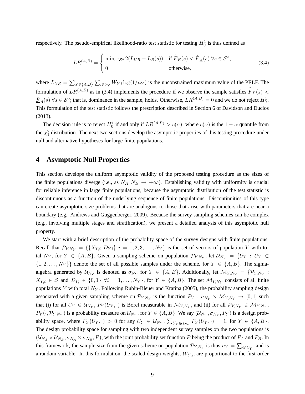respectively. The pseudo-empirical likelihood-ratio test statistic for testing  $H_0^1$  is thus defined as

$$
LR^{(A,B)} = \begin{cases} \min_{s \in \mathcal{S}^{\circ}} 2(L_{UR} - L_R(s)) & \text{if } \hat{\overline{F}}_B(s) < \hat{\underline{F}}_A(s) \,\forall s \in \mathcal{S}^{\circ}, \\ 0 & \text{otherwise}, \end{cases}
$$
(3.4)

where  $L_{UR} = \sum_{Y \in \{A,B\}} \sum_{i \in U_Y} W_{Y,i} \log(1/n_Y)$  is the unconstrained maximum value of the PELF. The formulation of  $LR^{(A,B)}$  as in (3.4) implements the procedure if we observe the sample satisfies  $\hat{F}_B(s)$  <  $\underline{\hat{F}}_A(s)$   $\forall s \in S^\circ$ ; that is, dominance in the sample, holds. Otherwise,  $LR^{(A,B)} = 0$  and we do not reject  $H_0^1$ . This formulation of the test statistic follows the prescription described in Section 6 of Davidson and Duclos (2013).

The decision rule is to reject  $H_0^1$  if and only if  $LR^{(A,B)} > c(\alpha)$ , where  $c(\alpha)$  is the  $1 - \alpha$  quantile from the  $\chi_1^2$  distribution. The next two sections develop the asymptotic properties of this testing procedure under null and alternative hypotheses for large finite populations.

## **4 Asymptotic Null Properties**

This section develops the uniform asymptotic validity of the proposed testing procedure as the sizes of the finite populations diverge (i.e., as  $N_A, N_B \to +\infty$ ). Establishing validity with uniformity is crucial for reliable inference in large finite populations, because the asymptotic distribution of the test statistic is discontinuous as a function of the underlying sequence of finite populations. Discontinuities of this type can create asymptotic size problems that are analogous to those that arise with parameters that are near a boundary (e.g., Andrews and Guggenberger, 2009). Because the survey sampling schemes can be complex (e.g., involving multiple stages and stratification), we present a detailed analysis of this asymptotic null property.

We start with a brief description of the probability space of the survey designs with finite populations. Recall that  $\mathcal{P}_{Y,N_Y} = \{\{X_{Y,i}, D_{Y,i}\}, i = 1, 2, 3, \ldots, N_Y\}$  is the set of vectors of population Y with total  $N_Y$ , for  $Y \in \{A, B\}$ . Given a sampling scheme on population  $\mathcal{P}_{Y, N_Y}$ , let  $\mathcal{U}_{N_Y} = \{U_Y : U_Y \subset$  $\{1, 2, \ldots, N_Y\}$  denote the set of all possible samples under the scheme, for  $Y \in \{A, B\}$ . The sigmaalgebra generated by  $\mathcal{U}_{N_Y}$  is denoted as  $\sigma_{N_Y}$  for  $Y \in \{A, B\}$ . Additionally, let  $\mathcal{M}_{Y, N_Y} = \{ \mathcal{P}_{Y, N_Y}$ :  $X_{Y,i} \in S$  and  $D_{Y_i} \in \{0,1\}$   $\forall i = 1, \ldots, N_Y\}$ , for  $Y \in \{A, B\}$ . The set  $\mathcal{M}_{Y,N_Y}$  consists of all finite populations Y with total  $N_Y$ . Following Rubin-Bleuer and Kratina (2005), the probability sampling design associated with a given sampling scheme on  $\mathcal{P}_{Y,N_Y}$  is the function  $P_Y : \sigma_{N_Y} \times \mathcal{M}_{Y,N_Y} \to [0,1]$  such that (i) for all  $U_Y \in \mathcal{U}_{N_Y}, P_Y(U_Y, \cdot)$  is Borel measurable in  $\mathcal{M}_{Y, N_Y}$ , and (ii) for all  $\mathcal{P}_{Y, N_Y} \in \mathcal{M}_{Y, N_Y}$ ,  $P_Y(\cdot, \mathcal{P}_{Y,N_Y})$  is a probability measure on  $\mathcal{U}_{N_Y}$ , for  $Y \in \{A, B\}$ . We say  $(\mathcal{U}_{N_Y}, \sigma_{N_Y}, P_Y)$  is a design probability space, where  $P_Y(U_Y, \cdot) > 0$  for any  $U_Y \in \mathcal{U}_{N_Y}, \sum_{U_Y \in \mathcal{U}_{N_Y}} P_Y(U_Y, \cdot) = 1$ , for  $Y \in \{A, B\}.$ The design probability space for sampling with two independent survey samples on the two populations is  $(\mathcal{U}_{N_A} \times \mathcal{U}_{N_B}, \sigma_{N_A} \times \sigma_{N_B}, P)$ , with the joint probability set function P being the product of  $P_A$  and  $P_B$ . In this framework, the sample size from the given scheme on population  $\mathcal{P}_{Y,N_Y}$  is thus  $n_Y = \sum_{i \in U_Y}$ , and is a random variable. In this formulation, the scaled design weights,  $W_{Y,i}$ , are proportional to the first-order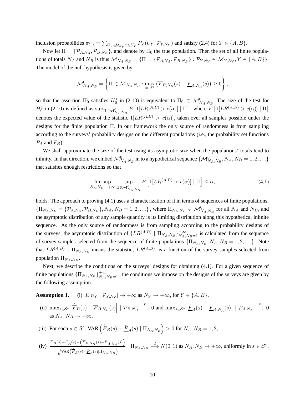inclusion probabilities  $\pi_{Y,i} = \sum_{U_Y \in \mathcal{U}_{N_Y}: i \in U_Y} P_Y(U_Y, \mathcal{P}_{Y,N_Y})$  and satisfy (2.4) for  $Y \in \{A, B\}$ .

Now let  $\Pi = \{P_{A,N_A}, P_{B,N_B}\}\$ , and denote by  $\Pi_0$  the true population. Then the set of all finite populations of totals  $N_A$  and  $N_B$  is thus  $\mathcal{M}_{N_A,N_B} = {\Pi = {\mathcal{P}_{A,N_A}, \mathcal{P}_{B,N_B}}} : \mathcal{P}_{Y,N_Y} \in \mathcal{M}_{Y,N_Y}, Y \in \{A, B\}}.$ The model of the null hypothesis is given by

$$
\mathcal{M}_{N_A,N_B}^0 = \left\{ \Pi \in \mathcal{M}_{N_A,N_B} : \max_{s \in \mathcal{S}^\circ} \left( \overline{F}_{B,N_B}(s) - \underline{F}_{A,N_A}(s) \right) \ge 0 \right\},\,
$$

so that the assertion  $\Pi_0$  satisfies  $H_0^1$  in (2.10) is equivalent to  $\Pi_0 \in \mathcal{M}_{N_A,N_B}^0$ . The size of the test for  $H_0^1$  in (2.10) is defined as  $\sup_{\Pi \in \mathcal{M}_{N_A,N_B}^0} E\left[\mathbb{1}[LR^{(A,B)} > c(\alpha)] \mid \Pi\right]$ , where  $E\left[\mathbb{1}[LR^{(A,B)} > c(\alpha)] \mid \Pi\right]$ denotes the expected value of the statistic  $1[LR^{(A,B)} > c(\alpha)]$ , taken over all samples possible under the designs for the finite population Π. In our framework the only source of randomness is from sampling according to the surveys' probability designs on the different populations (i.e., the probability set functions  $P_A$  and  $P_B$ ).

We shall approximate the size of the test using its asymptotic size when the populations' totals tend to infinity. In that direction, we embed  $\mathcal{M}_{N_A,N_B}^0$  in to a hypothetical sequence  $\{\mathcal{M}_{N_A,N_B}^0,N_A,N_B=1,2,\ldots\}$ that satisfies enough restrictions so that

$$
\limsup_{N_A, N_B \to +\infty} \sup_{\Pi \in \mathcal{M}_{N_A, N_B}^0} E\left[1[LR^{(A,B)} > c(\alpha)] \mid \Pi\right] \le \alpha,\tag{4.1}
$$

holds. The approach to proving (4.1) uses a characterization of it in terms of sequences of finite populations,  ${\{\Pi_{N_A,N_B} = \{\mathcal{P}_{A,N_A}, \mathcal{P}_{B,N_B}\}, N_A, N_B = 1, 2, \ldots\}}$ , where  ${\Pi_{N_A,N_B} \in \mathcal{M}_{N_A,N_B}^0$  for all  $N_A$  and  $N_B$ , and the asymptotic distribution of any sample quantity is its limiting distribution along this hypothetical infinite sequence. As the only source of randomness is from sampling according to the probability designs of the surveys, the asymptotic distribution of  $\{LR^{(A,B)} | \Pi_{N_A,N_B}\}_{N_A,N_B=1}^{+\infty}$  is calculated from the sequence of survey-samples selected from the sequence of finite populations  $\{\Pi_{N_A,N_B}, N_A, N_B = 1, 2, ...\}$ . Note that  $LR^{(A,B)}$  |  $\Pi_{N_A,N_B}$  means the statistic,  $LR^{(A,B)}$ , is a function of the survey samples selected from population  $\Pi_{N_A,N_B}$ .

Next, we describe the conditions on the surveys' designs for obtaining (4.1). For a given sequence of finite populations  $\{\Pi_{N_A,N_B}\}_{N_A,N_B=1}^{+\infty}$ , the conditions we impose on the designs of the surveys are given by the following assumption.

**Assumption 1.** (i)  $E[n_Y | P_{Y,N_Y}] \to +\infty$  as  $N_Y \to +\infty$ , for  $Y \in \{A, B\}$ .

(ii)  $\max_{s \in S^\circ} \left| \hat{\overline{F}}_B(s) - \overline{F}_{B,N_B}(s) \right| \mid \mathcal{P}_{B,N_B} \stackrel{P}{\longrightarrow} 0$  and  $\max_{s \in S^\circ} \left| \hat{\overline{F}}_B(s) - \overline{F}_{B,N_B}(s) \right|$  $\hat{F}_A(s) - \underline{F}_{A,N_A}(s)$  |  $\mathcal{P}_{A,N_A} \stackrel{P}{\longrightarrow} 0$ as  $N_A, N_B \rightarrow +\infty$ .

(iii) For each 
$$
s \in S^{\circ}
$$
,  $VAR\left(\hat{\overline{F}}_B(s) - \hat{\underline{F}}_A(s) | \Pi_{N_A, N_B}\right) > 0$  for  $N_A, N_B = 1, 2, ...$ 

(iv) 
$$
\frac{\hat{\overline{F}}_B(s) - \hat{\underline{F}}_A(s) - (\overline{F}_{B,N_B}(s) - \underline{F}_{A,N_A}(s))}{\sqrt{\text{VAR}(\hat{\overline{F}}_B(s) - \hat{\underline{F}}_A(s)|\Pi_{N_A,N_B})}} \mid \Pi_{N_A,N_B} \stackrel{d}{\longrightarrow} N(0,1) \text{ as } N_A, N_B \to +\infty \text{, uniformly in } s \in \mathcal{S}^{\circ}.
$$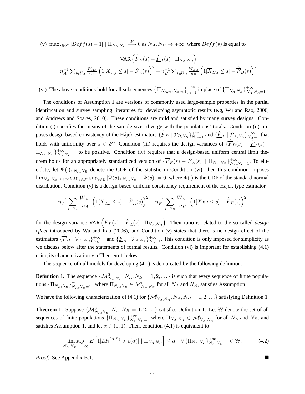(v)  $\max_{s \in S^{\circ}} |Deff(s) - 1| | \prod_{N_A, N_B} \stackrel{P}{\longrightarrow} 0$  as  $N_A, N_B \to +\infty$ , where  $Deff(s)$  is equal to

$$
\frac{\text{VAR}\left(\hat{\overline{F}}_B(s) - \hat{\underline{F}}_A(s) \mid \Pi_{N_A, N_B}\right)}{n_A^{-1} \sum_{i \in U_A} \frac{W_{A,i}}{n_A} \left(1[\underline{X}_{A,i} \le s] - \hat{\underline{F}}_A(s)\right)^2 + n_B^{-1} \sum_{i \in U_B} \frac{W_{B,i}}{n_B} \left(1[\overline{X}_{B,i} \le s] - \hat{\overline{F}}_B(s)\right)^2}.
$$

(vi) The above conditions hold for all subsequences  $\{\Pi_{N_{A,m},N_{B,m}}\}_{m=1}^{+\infty}$  in place of  $\{\Pi_{N_A,N_B}\}_{N_A,N_B=1}^{+\infty}$ .

The conditions of Assumption 1 are versions of commonly used large-sample properties in the partial identification and survey sampling literatures for developing asymptotic results (e.g, Wu and Rao, 2006, and Andrews and Soares, 2010). These conditions are mild and satisfied by many survey designs. Condition (i) specifies the means of the sample sizes diverge with the populations' totals. Condition (ii) imposes design-based consistency of the Hájek estimators  $\{\hat{F}_B \mid \mathcal{P}_{B,N_B}\}_{N_B=1}^{+\infty}$  and  $\{\hat{F}_A \mid \mathcal{P}_{A,N_A}\}_{N_A=1}^{+\infty}$  that holds with uniformity over  $s \in S^{\circ}$ . Condition (iii) requires the design variances of  $\{\hat{F}_B(s) - \hat{F}_A(s) \mid$  $\Pi_{N_A,N_B}\big\}_{N_A,N_B=1}^{+\infty}$  to be positive. Condition (iv) requires that a design-based uniform central limit theorem holds for an appropriately standardized version of  $\{\hat{F}_B(s) - \hat{F}_A(s) \mid \Pi_{NA,N_B}\}_{N_A,N_B=1}^{+\infty}$ . To elucidate, let  $\Psi(\cdot)_{s,N_A,N_B}$  denote the CDF of the statistic in Condition (vi), then this condition imposes  $\lim_{N_A,N_B\to+\infty} \sup_{s\in\mathcal{S}^{\circ}} \sup_{v\in\mathbb{R}} |\Psi(v)_{s,N_A,N_B} - \Phi(v)| = 0$ , where  $\Phi(\cdot)$  is the CDF of the standard normal distribution. Condition (v) is a design-based uniform consistency requirement of the Hájek-type estimator

$$
n_A^{-1} \sum_{i \in U_A} \frac{W_{A,i}}{n_A} \left( 1[\underline{X}_{A,i} \le s] - \hat{\underline{F}}_A(s) \right)^2 + n_B^{-1} \sum_{i \in U_B} \frac{W_{B,i}}{n_B} \left( 1[\overline{X}_{B,i} \le s] - \hat{\overline{F}}_B(s) \right)^2
$$

for the design variance VAR  $(\hat{\overline{F}}_B(s) - \hat{\underline{F}}_A(s) | \Pi_{N_A, N_B})$ . Their ratio is related to the so-called *design effect* introduced by Wu and Rao (2006), and Condition (v) states that there is no design effect of the estimators  $\{\hat{F}_B \mid \mathcal{P}_{B,N_B}\}_{N_B=1}^{+\infty}$  and  $\{\hat{F}_A \mid \mathcal{P}_{A,N_A}\}_{N_A=1}^{+\infty}$ . This condition is only imposed for simplicity as we discuss below after the statements of formal results. Condition (vi) is important for establishing (4.1) using its characterization via Theorem 1 below.

The sequence of null models for developing (4.1) is demarcated by the following definition.

**Definition 1.** The sequence  $\{\mathcal{M}_{N_A,N_B}^0, N_A, N_B = 1, 2, ...\}$  is such that every sequence of finite populations  $\{\Pi_{N_A,N_B}\}_{N_A,N_B=1}^{+\infty}$ , where  $\Pi_{N_A,N_B} \in \mathcal{M}_{N_A,N_B}^0$  for all  $N_A$  and  $N_B$ , satisfies Assumption 1.

We have the following characterization of (4.1) for  $\{M_{N_A,N_B}^0, N_A, N_B = 1, 2, ...\}$  satisfying Definition 1.

**Theorem 1.** Suppose  $\{\mathcal{M}_{N_A,N_B}^0, N_A, N_B = 1, 2, ...\}$  satisfies Definition 1. Let W denote the set of all sequences of finite populations  $\{\Pi_{N_A,N_B}\}_{N_A,N_B=1}^{+\infty}$  where  $\Pi_{N_A,N_B} \in \mathcal{M}_{N_A,N_B}^0$  for all  $N_A$  and  $N_B$ , and satisfies Assumption 1, and let  $\alpha \in (0,1)$ . Then, condition (4.1) is equivalent to

$$
\limsup_{N_A,N_B\to+\infty} E\left[\mathbb{1}[LR^{(A,B)} > c(\alpha)] \mid \Pi_{N_A,N_B}\right] \leq \alpha \quad \forall \left\{\Pi_{N_A,N_B}\right\}_{N_A,N_B=1}^{+\infty} \in \mathbb{W}.\tag{4.2}
$$

*Proof.* See Appendix B.1.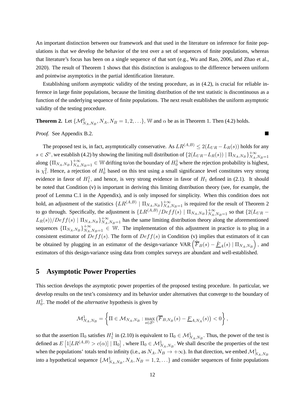An important distinction between our framework and that used in the literature on inference for finite populations is that we develop the behavior of the test over a set of sequences of finite populations, whereas that literature's focus has been on a single sequence of that sort (e.g., Wu and Rao, 2006, and Zhao et al., 2020). The result of Theorem 1 shows that this distinction is analogous to the difference between uniform and pointwise asymptotics in the partial identification literature.

Establishing uniform asymptotic validity of the testing procedure, as in (4.2), is crucial for reliable inference in large finite populations, because the limiting distribution of the test statistic is discontinuous as a function of the underlying sequence of finite populations. The next result establishes the uniform asymptotic validity of the testing procedure.

**Theorem 2.** Let  $\{\mathcal{M}_{N_A,N_B}^0, N_A, N_B = 1, 2, ...\}$ , W and  $\alpha$  be as in Theorem 1. Then (4.2) holds.

*Proof.* See Appendix B.2.

The proposed test is, in fact, asymptotically conservative. As  $LR^{(A,B)} \leq 2(L_{UR} - L_R(s))$  holds for any  $s \in S^{\circ}$ , we establish (4.2) by showing the limiting null distribution of  $\{2(L_{UR}-L_R(s)) | \Pi_{N_A,N_B}\}_{N_A}^{+\infty}$  $N_A, N_B=1$ along  $\{\Pi_{N_A,N_B}\}_{N_A,N_B=1}^{+\infty} \in \mathbb{W}$  drifting to/on the boundary of  $H_0^1$  where the rejection probability is highest, is  $\chi_1^2$ . Hence, a rejection of  $H_0^1$  based on this test using a small significance level constitutes very strong evidence in favor of  $H_1^1$ , and hence, is very strong evidence in favor of  $H_1$  defined in (2.1). It should be noted that Condition (v) is important in deriving this limiting distribution theory (see, for example, the proof of Lemma C.1 in the Appendix), and is only imposed for simplicity. When this condition does not hold, an adjustment of the statistics  $\{LR^{(A,B)} | \Pi_{N_A,N_B}\}_{N_A,N_B=1}^{+\infty}$  is required for the result of Theorem 2 to go through. Specifically, the adjustment is  $\{LR^{(A,B)}/Deff(s) \mid \Pi_{N_A,N_B}\}_{N_A,N_B=1}^{+\infty}$  so that  $\{2(L_{UR} L_R(s)/Deff(s) | \Pi_{N_A,N_B}$   $\}_{N_A,N_B=1}^{+\infty}$  has the same limiting distribution theory along the aforementioned sequences  ${\{\Pi_{N_A,N_B}\}}_{N_A,N_B=1}^{+\infty} \in \mathbb{W}$ . The implementation of this adjustment in practice is to plug in a consistent estimator of  $Deff(s)$ . The form of  $Deff(s)$  in Condition (v) implies that estimators of it can be obtained by plugging in an estimator of the design-variance VAR  $(\hat{F}_B(s) - \hat{F}_A(s) | \Pi_{N_A,N_B})$ , and estimators of this design-variance using data from complex surveys are abundant and well-established.

# **5 Asymptotic Power Properties**

This section develops the asymptotic power properties of the proposed testing procedure. In particular, we develop results on the test's consistency and its behavior under alternatives that converge to the boundary of  $H_0^1$ . The model of the *alternative* hypothesis is given by

$$
\mathcal{M}_{N_A,N_B}^1 = \left\{ \Pi \in \mathcal{M}_{N_A,N_B} : \max_{s \in \mathcal{S}^\circ} \left( \overline{F}_{B,N_B}(s) - \underline{F}_{A,N_A}(s) \right) < 0 \right\},
$$

so that the assertion  $\Pi_0$  satisfies  $H_1^1$  in (2.10) is equivalent to  $\Pi_0 \in \mathcal{M}_{N_A,N_B}^1$ . Thus, the power of the test is defined as  $E\left[1[LR^{(A,B)} > c(\alpha)] \mid \Pi_0\right]$  , where  $\Pi_0 \in \mathcal{M}_{N_A,N_B}^1$ . We shall describe the properties of the test when the populations' totals tend to infinity (i.e., as  $N_A, N_B \to +\infty$ ). In that direction, we embed  $\mathcal{M}^1_{N_A,N_B}$ into a hypothetical sequence  $\{\mathcal{M}^1_{N_A,N_B}, N_A, N_B = 1, 2, ...\}$  and consider sequences of finite populations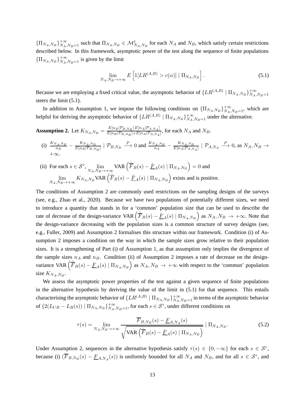${\{\Pi_{N_A,N_B}\}}_{N_A,N_B=1}^{+\infty}$  such that  $\Pi_{N_A,N_B} \in \mathcal{M}_{N_A,N_B}^1$  for each  $N_A$  and  $N_B$ , which satisfy certain restrictions described below. In this framework, asymptotic power of the test along the sequence of finite populations  $\{\Pi_{N_A,N_B}\}_{N_A,N_B=1}^{+\infty}$  is given by the limit

$$
\lim_{N_A,N_B\to+\infty} E\left[1[LR^{(A,B)} > c(\alpha)] \mid \Pi_{N_A,N_B}\right].\tag{5.1}
$$

Because we are employing a fixed critical value, the asymptotic behavior of  $\{LR^{(A,B)} | \Pi_{N_A,N_B}\}_{N_A}^{+\infty}$  $N_A, N_B = 1$ steers the limit (5.1).

In addition to Assumption 1, we impose the following conditions on  $\{\Pi_{N_A,N_B}\}_{N_A,N_B=1}^{+\infty}$ , which are helpful for deriving the asymptotic behavior of  $\{LR^{(A,B)} | \Pi_{N_A,N_B}\}_{N_A,N_B=1}^{+\infty}$  under the alternative.

**Assumption 2.** Let 
$$
K_{N_A,N_B} = \frac{E[n_B|\mathcal{P}_{B,N_B}]E[n_A|\mathcal{P}_{A,N_A}]}{E[n_B|\mathcal{P}_{B,N_B}]+E[n_A|\mathcal{P}_{A,N_A}]}
$$
, for each  $N_A$  and  $N_B$ .

(i) 
$$
\frac{K_{N_A,N_B}}{n_B} - \frac{K_{N_A,N_B}}{E[n_B|\mathcal{P}_{B,N_B}]}
$$
 |  $\mathcal{P}_{B,N_B} \stackrel{P}{\longrightarrow}$  0 and  $\frac{K_{N_A,N_B}}{n_A} - \frac{K_{N_A,N_B}}{E[n_A|\mathcal{P}_{A,N_A}]}$  |  $\mathcal{P}_{A,N_A} \stackrel{P}{\longrightarrow}$  0, as  $N_A, N_B \rightarrow$  + $\infty$ .

(ii) For each  $s \in S^{\circ}$ ,  $\lim_{N_A,N_B \to +\infty} \text{VAR} \left( \hat{\overline{F}}_B(s) - \hat{\underline{F}}_A(s) \mid \Pi_{N_A,N_B} \right) = 0$  and  $\lim_{N_A,N_B\to+\infty} K_{N_A,N_B}$ VAR  $\left(\hat{\overline{F}}_B(s) - \hat{\underline{F}}_A(s) \mid \Pi_{N_A,N_B}\right)$  exists and is positive.

The conditions of Assumption 2 are commonly used restrictions on the sampling designs of the surveys (see, e.g., Zhao et al., 2020). Because we have two populations of potentially different sizes, we need to introduce a quantity that stands in for a 'common' population size that can be used to describe the rate of decrease of the design-variance VAR  $\left(\hat{\overline{F}}_B(s) - \hat{\underline{F}}_A(s) \mid \Pi_{N_A, N_B}\right)$  as  $N_A, N_B \to +\infty$ . Note that the design-variance decreasing with the population sizes is a common structure of survey designs (see, e.g., Fuller, 2009) and Assumption 2 formalises this structure within our framework. Condition (i) of Assumption 2 imposes a condition on the way in which the sample sizes grow relative to their population sizes. It is a strengthening of Part (i) of Assumption 1, as that assumption only implies the divergence of the sample sizes  $n_A$  and  $n_B$ . Condition (ii) of Assumption 2 imposes a rate of decrease on the designvariance VAR  $(\hat{F}_B(s) - \hat{F}_A(s) | \Pi_{N_A, N_B})$  as  $N_A, N_B \to +\infty$  with respect to the 'common' population size  $K_{N_A,N_B}$ .

We assess the asymptotic power properties of the test against a given sequence of finite populations in the alternative hypothesis by deriving the value of the limit in (5.1) for that sequence. This entails characterising the asymptotic behavior of  $\{LR^{(A,B)}\mid \Pi_{N_A,N_B}\}_{N_A,N_B=1}^{+\infty}$  in terms of the asymptotic behavior of  $\{2(L_{UR} - L_R(s)) | \prod_{N_A,N_B}\}_{N_A,N_B=1}^{+\infty}$ , for each  $s \in S^{\circ}$ , under different conditions on

$$
\tau(s) = \lim_{N_A, N_B \to +\infty} \frac{\overline{F}_{B, N_B}(s) - \underline{F}_{A, N_A}(s)}{\sqrt{\text{VAR}\left(\hat{F}_B(s) - \hat{F}_A(s) \mid \Pi_{N_A, N_B}\right)}} \mid \Pi_{N_A, N_B}.
$$
\n(5.2)

Under Assumption 2, sequences in the alternative hypothesis satisfy  $\tau(s) \in \{0, -\infty\}$  for each  $s \in S^{\circ}$ , because (i)  $(\overline{F}_{B,N_B}(s) - \underline{F}_{A,N_A}(s))$  is uniformly bounded for all  $N_A$  and  $N_B$ , and for all  $s \in S^\circ$ , and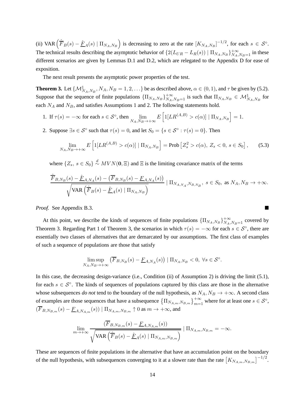(ii) VAR  $(\hat{F}_B(s) - \hat{F}_A(s) | \Pi_{N_A, N_B})$  is decreasing to zero at the rate  $[K_{N_A, N_B}]^{-1/2}$ , for each  $s \in S^\circ$ . The technical results describing the asymptotic behavior of  $\{2(L_{UR} - L_R(s)) | \Pi_{N_A,N_B}\}_{N_A,N_B=1}^{+\infty}$  in these different scenarios are given by Lemmas D.1 and D.2, which are relegated to the Appendix D for ease of exposition.

The next result presents the asymptotic power properties of the test.

**Theorem 3.** Let  $\{M^1_{N_A,N_B}, N_A, N_B = 1, 2, ...\}$  be as described above,  $\alpha \in (0,1)$ , and  $\tau$  be given by (5.2). Suppose that the sequence of finite populations  $\{\Pi_{N_A,N_B}\}_{N_A,N_B=1}^{+\infty}$  is such that  $\Pi_{N_A,N_B} \in \mathcal{M}_{N_A,N_B}^1$  for each  $N_A$  and  $N_B$ , and satisfies Assumptions 1 and 2. The following statements hold.

- 1. If  $\tau(s) = -\infty$  for each  $s \in S^\circ$ , then  $\lim_{N_A, N_B \to +\infty} E\left[1[LR^{(A,B)} > c(\alpha)] | \Pi_{N_A, N_B}\right] = 1$ .
- 2. Suppose  $\exists s \in S^{\circ}$  such that  $\tau(s) = 0$ , and let  $S_0 = \{ s \in S^{\circ} : \tau(s) = 0 \}$ . Then

$$
\lim_{N_A,N_B\to+\infty} E\left[\mathbb{1}[LR^{(A,B)} > c(\alpha)] \mid \Pi_{N_A,N_B}\right] = \text{Prob}\left[Z_s^2 > c(\alpha), Z_s < 0, s \in S_0\right],\tag{5.3}
$$

where  $\{Z_s, s \in S_0\} \stackrel{d}{\sim} MVN(\mathbf{0}, \Xi)$  and  $\Xi$  is the limiting covariance matrix of the terms

$$
\frac{\hat{\overline{F}}_{B,N_B}(s) - \hat{\underline{F}}_{A,N_A}(s) - (\overline{F}_{B,N_B}(s) - \underline{F}_{A,N_A}(s))}{\sqrt{\text{VAR}\left(\hat{\overline{F}}_B(s) - \hat{\underline{F}}_A(s) \mid \Pi_{N_A,N_B}\right)}} \mid \Pi_{N_{A,N_A},N_{B,N_B}}, \ s \in S_0, \text{ as } N_A, N_B \to +\infty.
$$

*Proof.* See Appendix B.3.

At this point, we describe the kinds of sequences of finite populations  $\{\Pi_{N_A,N_B}\}_{N_A,N_B=1}^{+\infty}$  covered by Theorem 3. Regarding Part 1 of Theorem 3, the scenarios in which  $\tau(s) = -\infty$  for each  $s \in S^{\circ}$ , there are essentially two classes of alternatives that are demarcated by our assumptions. The first class of examples of such a sequence of populations are those that satisfy

$$
\limsup_{N_A,N_B\to+\infty} \left(\overline{F}_{B,N_B}(s) - \underline{F}_{A,N_A}(s)\right) \mid \Pi_{N_A,N_B} < 0, \ \forall s \in \mathcal{S}^\circ.
$$

In this case, the decreasing design-variance (i.e., Condition (ii) of Assumption 2) is driving the limit (5.1), for each  $s \in S^{\circ}$ . The kinds of sequences of populations captured by this class are those in the alternative whose subsequences *do not* tend to the boundary of the null hypothesis, as  $N_A$ ,  $N_B \rightarrow +\infty$ . A second class of examples are those sequences that have a subsequence  $\left\{\Pi_{N_{A,m},N_{B,m}}\right\}_{m=1}^{+\infty}$  where for at least one  $s \in \mathcal{S}^{\circ}$ ,  $(\overline{F}_{B,N_{B,m}}(s) - \underline{F}_{A,N_{A,m}}(s)) | \Pi_{N_{A,m},N_{B,m}} \uparrow 0$  as  $m \to +\infty$ , and

$$
\lim_{m \to +\infty} \frac{(\overline{F}_{B,N_{B,m}}(s) - \underline{F}_{A,N_{A,m}}(s))}{\sqrt{\text{VAR}\left(\hat{\overline{F}}_B(s) - \hat{\underline{F}}_A(s) \mid \Pi_{N_{A,m},N_{B,m}}\right)}} \mid \Pi_{N_{A,m},N_{B,m}} = -\infty.
$$

These are sequences of finite populations in the alternative that have an accumulation point on the boundary of the null hypothesis, with subsequences converging to it at a slower rate than the rate  $[K_{N_{A,m},N_{B,m}}]^{-1/2}$ .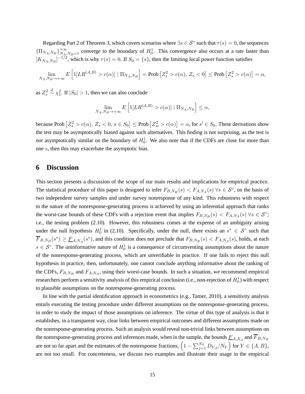Regarding Part 2 of Theorem 3, which covers scenarios where  $\exists s \in S^{\circ}$  such that  $\tau(s) = 0$ , the sequences  ${\prod_{N_A,N_B}}_{N_A,N_B=1}^{+\infty}$  converge to the boundary of  $H_0^1$ . This convergence also occurs at a rate faster than  $[K_{N_A,N_B}]^{-1/2}$ , which is why  $\tau(s) = 0$ . If  $S_0 = \{s\}$ , then the limiting local power function satisfies

$$
\lim_{N_A,N_B\to+\infty} E\left[\mathbb{1}[LR^{(A,B)} > c(\alpha)] \mid \Pi_{N_A,N_B}\right] = \text{Prob}\left[Z_s^2 > c(\alpha), Z_s < 0\right] \le \text{Prob}\left[Z_s^2 > c(\alpha)\right] = \alpha,
$$

as  $Z_s^2 \overset{d}{\sim} \chi_1^2$ . If  $|S_0| > 1$ , then we can also conclude

$$
\lim_{N_A,N_B\to+\infty} E\left[\mathbb{1}[LR^{(A,B)} > c(\alpha)] \mid \Pi_{N_A,N_B}\right] \leq \alpha,
$$

because Prob  $[Z_s^2 > c(\alpha), Z_s < 0, s \in S_0] \leq$  Prob  $[Z_{s'}^2 > c(\alpha)] = \alpha$ , for  $s' \in S_0$ . These derivations show the test may be asymptotically biased against such alternatives. This finding is not surprising, as the test is *not* asymptotically similar on the boundary of  $H_0^1$ . We also note that if the CDFs are close for more than one s, then this may exacerbate the asymptotic bias.

# **6 Discussion**

This section presents a discussion of the scope of our main results and implications for empirical practice. The statistical procedure of this paper is designed to infer  $F_{B,N_B}(s) < F_{A,N_A}(s)$   $\forall s \in S^\circ$ , on the basis of two independent survey samples and under survey nonresponse of any kind. This robustness with respect to the nature of the nonresponse-generating process is achieved by using an inferential approach that ranks the worst-case bounds of these CDFs with a rejection event that implies  $F_{B,N_B}(s) < F_{A,N_A}(s)$   $\forall s \in S^\circ$ ; i.e., the testing problem (2.10). However, this robustness comes at the expense of an ambiguity arising under the null hypothesis  $H_0^1$  in (2.10). Specifically, under the null, there exists an  $s^* \in S^{\circ}$  such that  $\overline{F}_{B,N_B}(s^*) \ge \underline{F}_{A,N_A}(s^*)$ , and this condition does not preclude that  $F_{B,N_B}(s) < F_{A,N_A}(s)$ , holds, at each  $s \in S^{\circ}$ . The uninformative nature of  $H_0^1$  is a consequence of circumventing assumptions about the nature of the nonresponse-generating process, which are unverifiable in practice. If one fails to reject this null hypothesis in practice, then, unfortunately, one cannot conclude anything informative about the ranking of the CDFs,  $F_{B,N_B}$  and  $F_{A,N_A}$ , using their worst-case bounds. In such a situation, we recommend empirical researchers perform a sensitivity analysis of this empirical conclusion (i.e., non-rejection of  $H_0^1$ ) with respect to plausible assumptions on the nonresponse-generating process.

In line with the partial identification approach in econometrics (e.g., Tamer, 2010), a sensitivity analysis entails executing the testing procedure under different assumptions on the nonresponse-generating process, in order to study the impact of those assumptions on inference. The virtue of this type of analysis is that it establishes, in a transparent way, clear links between empirical outcomes and different assumptions made on the nonresponse-generating process. Such an analysis would reveal non-trivial links between assumptions on the nonresponse-generating process and inferences made, when in the sample, the bounds  $F_{A,N_A}$  and  $\overline{F}_{B,N_B}$ are not so far apart and the estimates of the nonresponse fractions,  $(1 - \sum_{j=1}^{N_Y} D_{Y,j}/N_Y)$  for  $Y \in \{A, B\}$ , are not too small. For concreteness, we discuss two examples and illustrate their usage in the empirical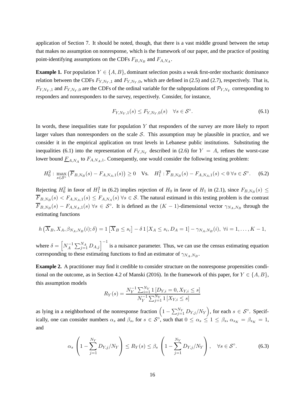application of Section 7. It should be noted, though, that there is a vast middle ground between the setup that makes no assumption on nonresponse, which is the framework of our paper, and the practice of positing point-identifying assumptions on the CDFs  $F_{B,N_B}$  and  $F_{A,N_A}$ .

**Example 1.** For population  $Y \in \{A, B\}$ , dominant selection posits a weak first-order stochastic dominance relation between the CDFs  $F_{Y,N_Y,1}$  and  $F_{Y,N_Y,0}$ , which are defined in (2.5) and (2.7), respectively. That is,  $F_{Y,N_Y,1}$  and  $F_{Y,N_Y,0}$  are the CDFs of the ordinal variable for the subpopulations of  $\mathcal{P}_{Y,N_Y}$  corresponding to responders and nonresponders to the survey, respectively. Consider, for instance,

$$
F_{Y,N_Y,1}(s) \le F_{Y,N_Y,0}(s) \quad \forall s \in \mathcal{S}^{\circ}.
$$
\n
$$
(6.1)
$$

In words, these inequalities state for population  $Y$  that responders of the survey are more likely to report larger values than nonresponders on the scale  $S$ . This assumption may be plausible in practice, and we consider it in the empirical application on trust levels in Lebanese public institutions. Substituting the inequalities (6.1) into the representation of  $F_{Y,N_Y}$  described in (2.6) for  $Y = A$ , refines the worst-case lower bound  $\underline{F}_{A,N_A}$  to  $F_{A,N_A,1}$ . Consequently, one would consider the following testing problem:

$$
H_0^2: \max_{s \in S^\circ} \left( \overline{F}_{B,N_B}(s) - F_{A,N_A,1}(s) \right) \ge 0 \quad \text{Vs.} \quad H_1^2: \overline{F}_{B,N_B}(s) - F_{A,N_A,1}(s) < 0 \,\forall s \in S^\circ. \tag{6.2}
$$

Rejecting  $H_0^2$  in favor of  $H_1^2$  in (6.2) implies rejection of  $H_0$  in favor of  $H_1$  in (2.1), since  $F_{B,N_B}(s) \le$  $F_{B,N_B}(s) < F_{A,N_A,1}(s) \le F_{A,N_A}(s)$   $\forall s \in S$ . The natural estimand in this testing problem is the contrast  $\overline{F}_{B,N_B}(s) - F_{A,N_A,1}(s)$   $\forall s \in S^\circ$ . It is defined as the  $(K-1)$ -dimensional vector  $\gamma_{N_A,N_B}$  through the estimating functions

$$
h\left(\overline{X}_B, X_A, \beta_{N_A,N_B}(i); \delta\right) = 1\left[\overline{X}_B \le s_i\right] - \delta 1\left[X_A \le s_i, D_A = 1\right] - \gamma_{N_A,N_B}(i), \ \forall i = 1,\ldots,K-1,
$$

where  $\delta = \left[ N_A^{-1} \right]$  $\left[\overline{A}^{-1}\sum_{j=1}^{N_A}D_{A,j}\right]^{-1}$  is a nuisance parameter. Thus, we can use the census estimating equation corresponding to these estimating functions to find an estimator of  $\gamma_{N_A,N_B}$ .

**Example 2.** A practitioner may find it credible to consider structure on the nonresponse propensities conditional on the outcome, as in Section 4.2 of Manski (2016). In the framework of this paper, for  $Y \in \{A, B\}$ , this assumption models

$$
R_Y(s) = \frac{N_Y^{-1} \sum_{i=1}^{N_Y} 1 \left[ D_{Y,i} = 0, X_{Y,i} \le s \right]}{N_Y^{-1} \sum_{j=1}^{N_Y} 1 \left[ X_{Y,i} \le s \right]}
$$

as lying in a neighborhood of the nonresponse fraction  $\left(1 - \sum_{j=1}^{N_Y} D_{Y,j}/N_Y\right)$ , for each  $s \in \mathcal{S}^\circ$ . Specifically, one can consider numbers  $\alpha_s$  and  $\beta_s$ , for  $s \in S^\circ$ , such that  $0 \le \alpha_s \le 1 \le \beta_s$ ,  $\alpha_{s_K} = \beta_{s_K} = 1$ , and

$$
\alpha_s \left( 1 - \sum_{j=1}^{N_Y} D_{Y,j} / N_Y \right) \le R_Y(s) \le \beta_s \left( 1 - \sum_{j=1}^{N_Y} D_{Y,j} / N_Y \right), \quad \forall s \in \mathcal{S}^\circ. \tag{6.3}
$$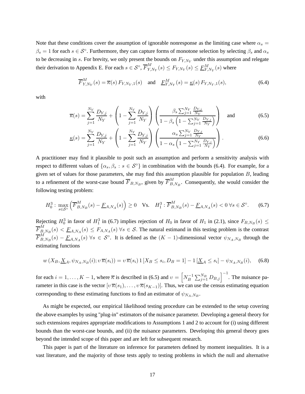Note that these conditions cover the assumption of ignorable nonresponse as the limiting case where  $\alpha_s =$  $\beta_s = 1$  for each  $s \in S^\circ$ . Furthermore, they can capture forms of monotone selection by selecting  $\beta_s$  and  $\alpha_s$ to be decreasing in s. For brevity, we only present the bounds on  $F_{Y,N_Y}$  under this assumption and relegate their derivation to Appendix E. For each  $s \in S^{\circ}$ ,  $\overline{F}_{Y}^{M}$  $Y_{Y, N_Y}^M(s) \leq F_{Y, N_Y}(s) \leq \underline{F}_{Y, N_Y}^M(s)$  where

$$
\overline{F}_{Y,N_Y}^M(s) = \overline{\kappa}(s) F_{Y,N_Y,1}(s) \quad \text{and} \quad \underline{F}_{Y,N_Y}^M(s) = \underline{\kappa}(s) F_{Y,N_Y,1}(s), \tag{6.4}
$$

with

$$
\overline{\kappa}(s) = \sum_{j=1}^{N_Y} \frac{D_{Y,j}}{N_Y} + \left(1 - \sum_{j=1}^{N_Y} \frac{D_{Y,j}}{N_Y}\right) \left(\frac{\beta_s \sum_{j=1}^{N_Y} \frac{D_{Y,j}}{N_Y}}{1 - \beta_s \left(1 - \sum_{j=1}^{N_Y} \frac{D_{Y,j}}{N_Y}\right)}\right)
$$
 and (6.5)

$$
\underline{\kappa}(s) = \sum_{j=1}^{N_Y} \frac{D_{Y,j}}{N_Y} + \left(1 - \sum_{j=1}^{N_Y} \frac{D_{Y,j}}{N_Y}\right) \left(\frac{\alpha_s \sum_{j=1}^{N_Y} \frac{D_{Y,j}}{N_Y}}{1 - \alpha_s \left(1 - \sum_{j=1}^{N_Y} \frac{D_{Y,j}}{N_Y}\right)}\right).
$$
(6.6)

A practitioner may find it plausible to posit such an assumption and perform a sensitivity analysis with respect to different values of  $\{\alpha_s, \beta_s : s \in S^\circ\}$  in combination with the bounds (6.4). For example, for a given set of values for those parameters, she may find this assumption plausible for population  $B$ , leading to a refinement of the worst-case bound  $\overline{F}_{B,N_B},$  given by  $\overline{F}_{B,}^M$  $B_{B,N_B}^M$ . Consequently, she would consider the following testing problem:

$$
H_0^3: \max_{s \in S^\circ} \left( \overline{F}_{B,N_B}^M(s) - \underline{F}_{A,N_A}(s) \right) \ge 0 \quad \text{Vs.} \quad H_1^3: \overline{F}_{B,N_B}^M(s) - \underline{F}_{A,N_A}(s) < 0 \,\forall s \in S^\circ. \tag{6.7}
$$

Rejecting  $H_0^3$  in favor of  $H_1^3$  in (6.7) implies rejection of  $H_0$  in favor of  $H_1$  in (2.1), since  $F_{B,N_B}(s) \le$  $\overline{F}_{B}^{M}$  $B_{2,N_B}(s) \leq E_{A,N_A}(s) \leq F_{A,N_A}(s)$   $\forall s \in S$ . The natural estimand in this testing problem is the contrast  $\overline{F}_{B}^{M}$  $B_{B,N_B}^{M}(s) - \underline{F}_{A,N_A}(s)$   $\forall s \in S^\circ$ . It is defined as the  $(K-1)$ -dimensional vector  $\psi_{N_A,N_B}$  through the estimating functions

$$
w(X_B, \underline{X}_A, \psi_{N_A, N_B}(i); v \overline{\kappa}(s_i)) = v \overline{\kappa}(s_i) 1 [X_B \le s_i, D_B = 1] - 1 [\underline{X}_A \le s_i] - \psi_{N_A, N_B}(i), \quad (6.8)
$$

for each  $i = 1, ..., K - 1$ , where  $\overline{\kappa}$  is described in (6.5) and  $v = \begin{bmatrix} N_B^{-1} \end{bmatrix}$  $\left[\sum_{j=1}^{N_B} D_{B,j}\right]^{-1}$ . The nuisance parameter in this case is the vector  $[v\overline{\kappa}(s_1), \ldots, v\overline{\kappa}(s_{K-1})]$ . Thus, we can use the census estimating equation corresponding to these estimating functions to find an estimator of  $\psi_{N_A,N_B}$ .

As might be expected, our empirical likelihood testing procedure can be extended to the setup covering the above examples by using "plug-in" estimators of the nuisance parameter. Developing a general theory for such extensions requires appropriate modifications to Assumptions 1 and 2 to account for (i) using different bounds than the worst-case bounds, and (ii) the nuisance parameters. Developing this general theory goes beyond the intended scope of this paper and are left for subsequent research.

This paper is part of the literature on inference for parameters defined by moment inequalities. It is a vast literature, and the majority of those tests apply to testing problems in which the null and alternative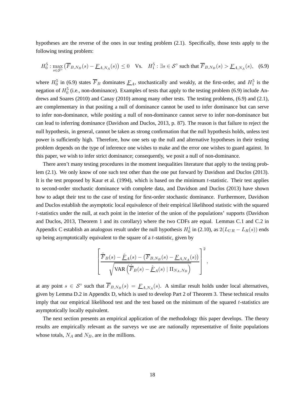hypotheses are the reverse of the ones in our testing problem (2.1). Specifically, those tests apply to the following testing problem:

$$
H_0^5: \max_{s \in \mathcal{S}^\circ} \left( \overline{F}_{B,N_B}(s) - \underline{F}_{A,N_A}(s) \right) \le 0 \quad \text{Vs.} \quad H_1^5: \exists s \in \mathcal{S}^\circ \text{ such that } \overline{F}_{B,N_B}(s) > \underline{F}_{A,N_A}(s), \tag{6.9}
$$

where  $H_0^5$  in (6.9) states  $\overline{F}_B$  dominates  $\underline{F}_A$ , stochastically and weakly, at the first-order, and  $H_1^5$  is the negation of  $H_0^5$  (i.e., non-dominance). Examples of tests that apply to the testing problem (6.9) include Andrews and Soares (2010) and Canay (2010) among many other tests. The testing problems, (6.9) and (2.1), are complementary in that positing a null of dominance cannot be used to infer dominance but can serve to infer non-dominance, while positing a null of non-dominance cannot serve to infer non-dominance but can lead to inferring dominance (Davidson and Duclos, 2013, p. 87). The reason is that failure to reject the null hypothesis, in general, cannot be taken as strong confirmation that the null hypothesis holds, unless test power is sufficiently high. Therefore, how one sets up the null and alternative hypotheses in their testing problem depends on the type of inference one wishes to make and the error one wishes to guard against. In this paper, we wish to infer strict dominance; consequently, we posit a null of non-dominance.

There aren't many testing procedures in the moment inequalities literature that apply to the testing problem (2.1). We only know of one such test other than the one put forward by Davidson and Duclos (2013). It is the test proposed by Kaur et al. (1994), which is based on the minimum  $t$ -statistic. Their test applies to second-order stochastic dominance with complete data, and Davidson and Duclos (2013) have shown how to adapt their test to the case of testing for first-order stochastic dominance. Furthermore, Davidson and Duclos establish the asymptotic local equivalence of their empirical likelihood statistic with the squared t-statistics under the null, at each point in the interior of the union of the populations' supports (Davidson and Duclos, 2013, Theorem 1 and its corollary) where the two CDFs are equal. Lemmas C.1 and C.2 in Appendix C establish an analogous result under the null hypothesis  $H_0^1$  in (2.10), as  $2(L_{UR} - L_R(s))$  ends up being asymptotically equivalent to the square of a  $t$ -statistic, given by

$$
\left[ \frac{\hat{\overline{F}}_B(s) - \hat{\underline{F}}_A(s) - (\overline{F}_{B,N_B}(s) - \underline{F}_{A,N_A}(s))}{\sqrt{\text{VAR}\left(\hat{\overline{F}}_B(s) - \hat{\underline{F}}_A(s) \mid \Pi_{N_A,N_B}\right)}} \right]^2,
$$

at any point  $s \in S^{\circ}$  such that  $\overline{F}_{B,N_B}(s) = \underline{F}_{A,N_A}(s)$ . A similar result holds under local alternatives, given by Lemma D.2 in Appendix D, which is used to develop Part 2 of Theorem 3. These technical results imply that our empirical likelihood test and the test based on the minimum of the squared t-statistics are asymptotically locally equivalent.

The next section presents an empirical application of the methodology this paper develops. The theory results are empirically relevant as the surveys we use are nationally representative of finite populations whose totals,  $N_A$  and  $N_B$ , are in the millions.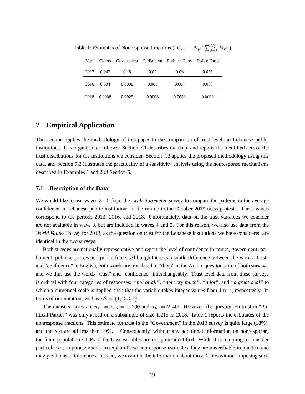| Year |        |        |        | Courts Government Parliament Political Party | Police Force |
|------|--------|--------|--------|----------------------------------------------|--------------|
| 2013 | 0.047  | 0.18   | 0.07   | 0.06                                         | 0.035        |
| 2016 | 0.004  | 0.0008 | 0.005  | 0.007                                        | 0.003        |
| 2018 | 0.0008 | 0.0025 | 0.0008 | 0.0058                                       | 0.0008       |

Table 1: Estimates of Nonresponse Fractions (i.e.,  $1 - N_Y^{-1}$  $\sum_{j=1}^{N_Y} D_{Y,j}$ 

# **7 Empirical Application**

This section applies the methodology of this paper to the comparison of trust levels in Lebanese public institutions. It is organised as follows. Section 7.1 describes the data, and reports the identified sets of the trust distributions for the institutions we consider. Section 7.2 applies the proposed methodology using this data, and Section 7.3 illustrates the practicality of a sensitivity analysis using the nonresponse mechanisms described in Examples 1 and 2 of Section 6.

#### **7.1 Description of the Data**

We would like to use waves 3 - 5 from the *Arab Barometer* survey to compare the patterns in the average confidence in Lebanese public institutions in the run up to the October 2019 mass protests. These waves correspond to the periods 2013, 2016, and 2018. Unfortunately, data on the trust variables we consider are not available in wave 3, but are included in waves 4 and 5. For this reason, we also use data from the *World Values Survey* for 2013, as the question on trust for the Lebanese institutions we have considered are identical in the two surveys.

Both surveys are nationally representative and report the level of confidence in courts, government, parliament, political parties and police force. Although there is a subtle difference between the words "trust" and "confidence" in English, both words are translated to "thiqa" in the Arabic questionnaire of both surveys, and we thus use the words "trust" and "confidence" interchangeably. Trust level data from these surveys is ordinal with four categories of responses: *"not at all"*, *"not very much"*, *"a lot"*, and *"a great deal"* to which a numerical scale is applied such that the variable takes integer values from 1 to 4, respectively. In terms of our notation, we have  $S = \{1, 2, 3, 4\}.$ 

The datasets' sizes are  $n_{13} = n_{16} = 1,200$  and  $n_{18} = 2,400$ . However, the question on trust in "Political Parties" was only asked on a subsample of size 1,215 in 2018. Table 1 reports the estimates of the nonresponse fractions. This estimate for trust in the "Government" in the 2013 survey is quite large (18%), and the rest are all less than 10%. Consequently, without any additional information on nonresponse, the finite population CDFs of the trust variables are not point-identified. While it is tempting to consider particular assumptions/models to explain these nonresponse estimates, they are unverifiable in practice and may yield biased inferences. Instead, we examine the information about those CDFs without imposing such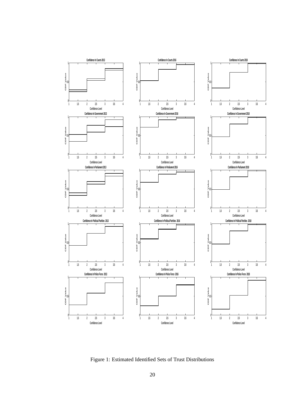

Figure 1: Estimated Identified Sets of Trust Distributions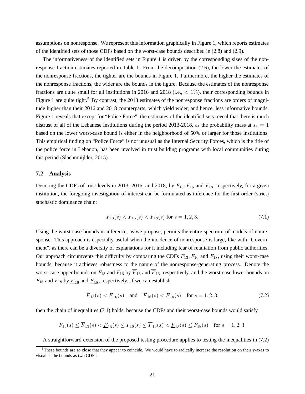assumptions on nonresponse. We represent this information graphically in Figure 1, which reports estimates of the identified sets of those CDFs based on the worst-case bounds described in (2.8) and (2.9).

The informativeness of the identified sets in Figure 1 is driven by the corresponding sizes of the nonresponse fraction estimates reported in Table 1. From the decomposition (2.6), the lower the estimates of the nonresponse fractions, the tighter are the bounds in Figure 1. Furthermore, the higher the estimates of the nonresponse fractions, the wider are the bounds in the figure. Because the estimates of the nonresponse fractions are quite small for all institutions in 2016 and 2018 (i.e., < 1%), their corresponding bounds in Figure 1 are quite tight.<sup>5</sup> By contrast, the 2013 estimates of the nonresponse fractions are orders of magnitude higher than their 2016 and 2018 counterparts, which yield wider, and hence, less informative bounds. Figure 1 reveals that except for "Police Force", the estimates of the identified sets reveal that there is much distrust of all of the Lebanese institutions during the period 2013-2018, as the probability mass at  $s_1 = 1$ based on the lower worst-case bound is either in the neighborhood of 50% or larger for those institutions. This empirical finding on "Police Force" is not unusual as the Internal Security Forces, which is the title of the police force in Lebanon, has been involved in trust building programs with local communities during this period (Slachmuijlder, 2015).

#### **7.2 Analysis**

Denoting the CDFs of trust levels in 2013, 2016, and 2018, by  $F_{13}$ ,  $F_{16}$  and  $F_{18}$ , respectively, for a given institution, the foregoing investigation of interest can be formulated as inference for the first-order (strict) stochastic dominance chain:

$$
F_{13}(s) < F_{16}(s) < F_{18}(s) \text{ for } s = 1, 2, 3. \tag{7.1}
$$

Using the worst-case bounds in inference, as we propose, permits the entire spectrum of models of nonresponse. This approach is especially useful when the incidence of nonresponse is large, like with "Government", as there can be a diversity of explanations for it including fear of retaliation from public authorities. Our approach circumvents this difficulty by comparing the CDFs  $F_{13}$ ,  $F_{16}$  and  $F_{18}$ , using their worst-case bounds, because it achieves robustness to the nature of the nonresponse-generating process. Denote the worst-case upper bounds on  $F_{13}$  and  $F_{16}$  by  $\overline{F}_{13}$  and  $\overline{F}_{16}$ , respectively, and the worst-case lower bounds on  $F_{16}$  and  $F_{18}$  by  $F_{16}$  and  $F_{18}$ , respectively. If we can establish

$$
\overline{F}_{13}(s) < \underline{F}_{16}(s)
$$
 and  $\overline{F}_{16}(s) < \underline{F}_{18}(s)$  for  $s = 1, 2, 3,$  (7.2)

then the chain of inequalities (7.1) holds, because the CDFs and their worst-case bounds would satisfy

$$
F_{13}(s) \le \overline{F}_{13}(s) < \underline{F}_{16}(s) \le F_{16}(s) \le \overline{F}_{16}(s) < \underline{F}_{18}(s) \le F_{18}(s) \quad \text{for } s = 1, 2, 3.
$$

A straightforward extension of the proposed testing procedure applies to testing the inequalities in (7.2)

 $5$ These bounds are so close that they appear to coincide. We would have to radically increase the resolution on their y-axes to visualise the bounds as two CDFs.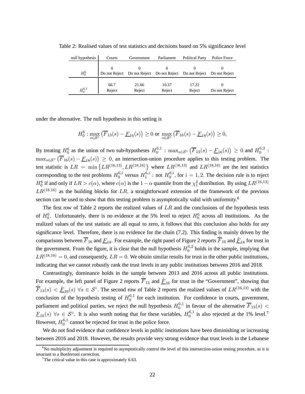| null hypothesis | Courts         | Government      | Parliament                                              | <b>Political Party</b> | Police Force  |
|-----------------|----------------|-----------------|---------------------------------------------------------|------------------------|---------------|
| $H_0^6$         |                |                 | Do not Reject Do not Reject Do not Reject Do not Reject |                        | Do not Reject |
| $H_0^{6,1}$     | 66.7<br>Reject | 21.66<br>Reject | 10.37<br>Reject                                         | 17.22<br>Reject        | Do not Reject |

Table 2: Realised values of test statistics and decisions based on 5% significance level

under the alternative. The null hypothesis in this setting is

$$
H_0^6: \max_{s \in \mathcal{S}^\circ} (\overline{F}_{13}(s) - \underline{F}_{16}(s)) \ge 0 \text{ or } \max_{s \in \mathcal{S}^\circ} (\overline{F}_{16}(s) - \underline{F}_{18}(s)) \ge 0,
$$

By treating  $H_0^6$  as the union of two sub-hypotheses  $H_0^{6,1}$  $\frac{6,1}{0}$  : max<sub>s∈S</sub>° ( $\overline{F}_{13}(s) - \underline{F}_{16}(s)$ ) ≥ 0 and  $H_0^{6,2}$  $\substack{0,2 \\ 0}$ :  $\max_{s \in S^{\circ}} (\overline{F}_{16}(s) - \underline{F}_{18}(s)) \ge 0$ , an intersection-union procedure applies to this testing problem. The test statistic is  $LR = \min \{LR^{(16,13)}, LR^{(18,16)}\}$  where  $LR^{(16,13)}$  and  $LR^{(18,16)}$  are the test statistics corresponding to the test problems  $H_0^{6,i}$  $_0^{6,i}$  versus  $H_1^{6,i}$  $_1^{6,i}$ : not  $H_0^{6,i}$  $\int_0^{0,i}$ , for  $i = 1, 2$ . The decision rule is to reject  $H_0^6$  if and only if  $LR > c(\alpha)$ , where  $c(\alpha)$  is the  $1 - \alpha$  quantile from the  $\chi_1^2$  distribution. By using  $LR^{(16,13)}$  $LR^{(18,16)}$  as the building blocks for  $LR$ , a straightforward extension of the framework of the previous section can be used to show that this testing problem is asymptotically valid with uniformity.<sup>6</sup>

The first row of Table 2 reports the realized values of  $LR$  and the conclusions of the hypothesis tests of  $H_0^6$ . Unfortunately, there is no evidence at the 5% level to reject  $H_0^6$  across all institutions. As the realized values of the test statistic are all equal to zero, it follows that this conclusion also holds for any significance level. Therefore, there is no evidence for the chain (7.2). This finding is mainly driven by the comparisons between  $\overline{F}_{16}$  and  $\underline{F}_{18}.$  For example, the right panel of Figure 2 reports  $\hat{\overline{F}}_{16}$  and  $\underline{\hat{F}}_{18}$  for trust in the government. From the figure, it is clear that the null hypothesis  $H_0^{6,2}$  $_{0}^{6,2}$  holds in the sample, implying that  $LR^{(18,16)}=0$ , and consequently,  $LR=0$ . We obtain similar results for trust in the other public institutions, indicating that we cannot robustly rank the trust levels in any public institutions between 2016 and 2018.

Contrastingly, dominance holds in the sample between 2013 and 2016 across all public institutions. For example, the left panel of Figure 2 reports  $\hat{F}_{13}$  and  $\underline{\hat{F}}_{16}$  for trust in the "Government", showing that  $\hat{F}_{13}(s) < \hat{F}_{16}(s)$   $\forall s \in S^{\circ}$ . The second row of Table 2 reports the realized values of  $LR^{(16,13)}$  with the conclusion of the hypothesis testing of  $H_0^{6,1}$  $_{0}^{6,1}$  for each institution. For confidence in courts, government, parliament and political parties, we reject the null hypothesis  $H_0^{6,1}$  $_{0}^{0,1}$  in favour of the alternative  $F_{13}(s)$  <  $\underline{F}_{16}(s)$   $\forall s \in S^\circ$ . It is also worth noting that for these variables,  $H_0^{6,1}$  $_0^{6,1}$  is also rejected at the 1% level.<sup>7</sup> However,  $H_0^{6,1}$  $_{0}^{6,1}$  cannot be rejected for trust in the police force.

We do not find evidence that confidence levels in public institutions have been diminishing or increasing between 2016 and 2018. However, the results provide very strong evidence that trust levels in the Lebanese

 $6N$ o multiplicity adjustment is required to asymptotically control the level of this intersection-union testing procedure, as it is invariant to a Bonferroni correction.

 $7$ The critical value in this case is approximately 6.63.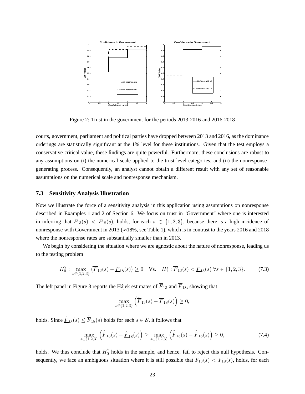

Figure 2: Trust in the government for the periods 2013-2016 and 2016-2018

courts, government, parliament and political parties have dropped between 2013 and 2016, as the dominance orderings are statistically significant at the 1% level for these institutions. Given that the test employs a conservative critical value, these findings are quite powerful. Furthermore, these conclusions are robust to any assumptions on (i) the numerical scale applied to the trust level categories, and (ii) the nonresponsegenerating process. Consequently, an analyst cannot obtain a different result with any set of reasonable assumptions on the numerical scale and nonresponse mechanism.

#### **7.3 Sensitivity Analysis Illustration**

Now we illustrate the force of a sensitivity analysis in this application using assumptions on nonresponse described in Examples 1 and 2 of Section 6. We focus on trust in "Government" where one is interested in inferring that  $F_{13}(s) < F_{18}(s)$ , holds, for each  $s \in \{1,2,3\}$ , because there is a high incidence of nonresponse with Government in 2013 ( $\approx$ 18%, see Table 1), which is in contrast to the years 2016 and 2018 where the nonresponse rates are substantially smaller than in 2013.

We begin by considering the situation where we are agnostic about the nature of nonresponse, leading us to the testing problem

$$
H_0^7: \max_{s \in \{1,2,3\}} \left( \overline{F}_{13}(s) - \underline{F}_{18}(s) \right) \ge 0 \quad \text{Vs.} \quad H_1^7: \overline{F}_{13}(s) < \underline{F}_{18}(s) \,\forall s \in \{1,2,3\}. \tag{7.3}
$$

The left panel in Figure 3 reports the Hájek estimates of  $\overline{F}_{13}$  and  $\overline{F}_{18}$ , showing that

$$
\max_{s \in \{1,2,3\}} \left( \hat{\overline{F}}_{13}(s) - \hat{\overline{F}}_{18}(s) \right) \ge 0,
$$

holds. Since  $\underline{\hat{F}}_{18}(s) \leq \overline{\hat{F}}_{18}(s)$  holds for each  $s \in \mathcal{S}$ , it follows that

$$
\max_{s \in \{1,2,3\}} \left( \hat{\overline{F}}_{13}(s) - \hat{\underline{F}}_{18}(s) \right) \ge \max_{s \in \{1,2,3\}} \left( \hat{\overline{F}}_{13}(s) - \hat{\overline{F}}_{18}(s) \right) \ge 0, \tag{7.4}
$$

holds. We thus conclude that  $H_0^7$  holds in the sample, and hence, fail to reject this null hypothesis. Consequently, we face an ambiguous situation where it is still possible that  $F_{13}(s) < F_{18}(s)$ , holds, for each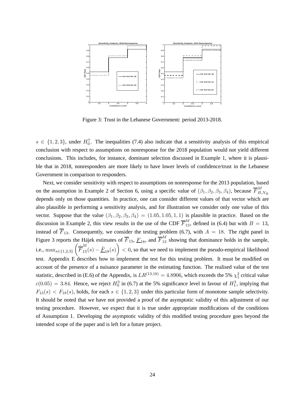

Figure 3: Trust in the Lebanese Government: period 2013-2018.

 $s \in \{1,2,3\}$ , under  $H_0^7$ . The inequalities (7.4) also indicate that a sensitivity analysis of this empirical conclusion with respect to assumptions on nonresponse for the 2018 population would not yield different conclusions. This includes, for instance, dominant selection discussed in Example 1, where it is plausible that in 2018, nonresponders are more likely to have lower levels of confidence/trust in the Lebanese Government in comparison to responders.

Next, we consider sensitivity with respect to assumptions on nonresponse for the 2013 population, based on the assumption in Example 2 of Section 6, using a specific value of  $(\beta_1, \beta_2, \beta_3, \beta_4)$ , because  $\overline{F}_{B}^M$ .  $_{B,N_B}$ depends only on those quantities. In practice, one can consider different values of that vector which are also plausible in performing a sensitivity analysis, and for illustration we consider only one value of this vector. Suppose that the value  $(\beta_1, \beta_2, \beta_3, \beta_4) = (1.05, 1.05, 1.1)$  is plausible in practice. Based on the discussion in Example 2, this view results in the use of the CDF  $\overline{F}_{13}^M$ , defined in (6.4) but with  $B = 13$ , instead of  $\overline{F}_{13}$ . Consequently, we consider the testing problem (6.7), with  $A = 18$ . The right panel in Figure 3 reports the Hájek estimates of  $\overline{F}_{13}$ ,  $\underline{F}_{18}$ , and  $\overline{F}_{13}^M$  showing that dominance holds in the sample, i.e.,  $\max_{s \in \{1,2,3\}} \left( \frac{\hat{\overline{F}}_{13}^M(s) - \hat{\underline{F}}_{18}(s) \right)$  < 0, so that we need to implement the pseudo-empirical likelihood test. Appendix E describes how to implement the test for this testing problem. It must be modified on account of the presence of a nuisance parameter in the estimating function. The realised value of the test statistic, described in (E.6) of the Appendix, is  $LR^{(13,18)} = 4.8906$ , which exceeds the 5%  $\chi_1^2$  critical value  $c(0.05) = 3.84$ . Hence, we reject  $H_0^3$  in (6.7) at the 5% significance level in favour of  $H_1^3$ , implying that  $F_{13}(s) < F_{18}(s)$ , holds, for each  $s \in \{1,2,3\}$  under this particular form of monotone sample selectivity. It should be noted that we have not provided a proof of the asymptotic validity of this adjustment of our testing procedure. However, we expect that it is true under appropriate modifications of the conditions of Assumption 1. Developing the asymptotic validity of this modified testing procedure goes beyond the intended scope of the paper and is left for a future project.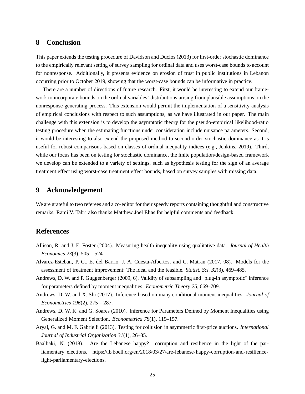## **8 Conclusion**

This paper extends the testing procedure of Davidson and Duclos (2013) for first-order stochastic dominance to the empirically relevant setting of survey sampling for ordinal data and uses worst-case bounds to account for nonresponse. Additionally, it presents evidence on erosion of trust in public institutions in Lebanon occurring prior to October 2019, showing that the worst-case bounds can be informative in practice.

There are a number of directions of future research. First, it would be interesting to extend our framework to incorporate bounds on the ordinal variables' distributions arising from plausible assumptions on the nonresponse-generating process. This extension would permit the implementation of a sensitivity analysis of empirical conclusions with respect to such assumptions, as we have illustrated in our paper. The main challenge with this extension is to develop the asymptotic theory for the pseudo-empirical likelihood-ratio testing procedure when the estimating functions under consideration include nuisance parameters. Second, it would be interesting to also extend the proposed method to second-order stochastic dominance as it is useful for robust comparisons based on classes of ordinal inequality indices (e.g., Jenkins, 2019). Third, while our focus has been on testing for stochastic dominance, the finite population/design-based framework we develop can be extended to a variety of settings, such as hypothesis testing for the sign of an average treatment effect using worst-case treatment effect bounds, based on survey samples with missing data.

## **9 Acknowledgement**

We are grateful to two referees and a co-editor for their speedy reports containing thoughtful and constructive remarks. Rami V. Tabri also thanks Matthew Joel Elias for helpful comments and feedback.

## **References**

- Allison, R. and J. E. Foster (2004). Measuring health inequality using qualitative data. *Journal of Health Economics 23*(3), 505 – 524.
- Alvarez-Esteban, P. C., E. del Barrio, J. A. Cuesta-Albertos, and C. Matran (2017, 08). Models for the assessment of treatment improvement: The ideal and the feasible. *Statist. Sci. 32*(3), 469–485.
- Andrews, D. W. and P. Guggenberger (2009, 6). Validity of subsampling and "plug-in asymptotic" inference for parameters defined by moment inequalities. *Econometric Theory 25*, 669–709.
- Andrews, D. W. and X. Shi (2017). Inference based on many conditional moment inequalities. *Journal of Econometrics 196*(2), 275 – 287.
- Andrews, D. W. K. and G. Soares (2010). Inference for Parameters Defined by Moment Inequalities using Generalized Moment Selection. *Econometrica 78*(1), 119–157.
- Aryal, G. and M. F. Gabrielli (2013). Testing for collusion in asymmetric first-price auctions. *International Journal of Industrial Organization 31*(1), 26–35.
- Baalbaki, N. (2018). Are the Lebanese happy? corruption and resilience in the light of the parliamentary elections. https://lb.boell.org/en/2018/03/27/are-lebanese-happy-corruption-and-resiliencelight-parliamentary-elections.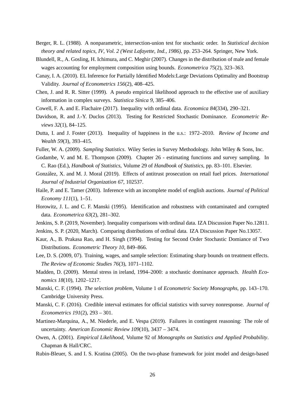- Berger, R. L. (1988). A nonparametric, intersection-union test for stochastic order. In *Statistical decision theory and related topics, IV, Vol. 2 (West Lafayette, Ind., 1986)*, pp. 253–264. Springer, New York.
- Blundell, R., A. Gosling, H. Ichimura, and C. Meghir (2007). Changes in the distribution of male and female wages accounting for employment composition using bounds. *Econometrica 75*(2), 323–363.
- Canay, I. A. (2010). EL Inference for Partially Identified Models:Large Deviations Optimality and Bootstrap Validity. *Journal of Econometrics 156*(2), 408–425.
- Chen, J. and R. R. Sitter (1999). A pseudo empirical likelihood approach to the effective use of auxiliary information in complex surveys. *Statistica Sinica 9*, 385–406.
- Cowell, F. A. and E. Flachaire (2017). Inequality with ordinal data. *Economica 84*(334), 290–321.
- Davidson, R. and J.-Y. Duclos (2013). Testing for Restricted Stochastic Dominance. *Econometric Reviews 32*(1), 84–125.
- Dutta, I. and J. Foster (2013). Inequality of happiness in the u.s.: 1972–2010. *Review of Income and Wealth 59*(3), 393–415.
- Fuller, W. A. (2009). *Sampling Statistics*. Wiley Series in Survey Methodology. John Wiley & Sons, Inc.
- Godambe, V. and M. E. Thompson (2009). Chapter 26 estimating functions and survey sampling. In C. Rao (Ed.), *Handbook of Statistics*, Volume 29 of *Handbook of Statistics*, pp. 83–101. Elsevier.
- González, X. and M. J. Moral (2019). Effects of antitrust prosecution on retail fuel prices. *International Journal of Industrial Organization 67*, 102537.
- Haile, P. and E. Tamer (2003). Inference with an incomplete model of english auctions. *Journal of Political Economy 111*(1), 1–51.
- Horowitz, J. L. and C. F. Manski (1995). Identification and robustness with contaminated and corrupted data. *Econometrica 63*(2), 281–302.
- Jenkins, S. P. (2019, November). Inequality comparisons with ordinal data. IZA Discussion Paper No.12811.
- Jenkins, S. P. (2020, March). Comparing distributions of ordinal data. IZA Discussion Paper No.13057.
- Kaur, A., B. Prakasa Rao, and H. Singh (1994). Testing for Second Order Stochastic Domiance of Two Distributions. *Econometric Theory 10*, 849–866.
- Lee, D. S. (2009, 07). Training, wages, and sample selection: Estimating sharp bounds on treatment effects. *The Review of Economic Studies 76*(3), 1071–1102.
- Madden, D. (2009). Mental stress in ireland, 1994–2000: a stochastic dominance approach. *Health Economics 18*(10), 1202–1217.
- Manski, C. F. (1994). *The selection problem*, Volume 1 of *Econometric Society Monographs*, pp. 143–170. Cambridge University Press.
- Manski, C. F. (2016). Credible interval estimates for official statistics with survey nonresponse. *Journal of Econometrics 191*(2), 293 – 301.
- Martinez-Marquina, A., M. Niederle, and E. Vespa (2019). Failures in contingent reasoning: The role of uncertainty. *American Economic Review 109*(10), 3437 – 3474.
- Owen, A. (2001). *Empirical Likelihood*, Volume 92 of *Monographs on Statistics and Applied Probability*. Chapman & Hall/CRC.
- Rubin-Bleuer, S. and I. S. Kratina (2005). On the two-phase framework for joint model and design-based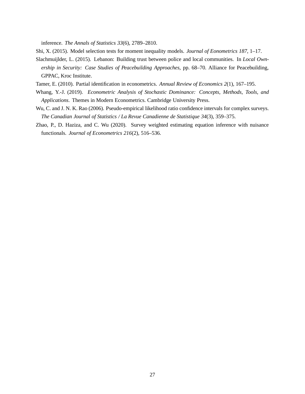inference. *The Annals of Statistics 33*(6), 2789–2810.

Shi, X. (2015). Model selection tests for moment inequality models. *Journal of Eonometrics 187*, 1–17.

- Slachmuijlder, L. (2015). Lebanon: Building trust between police and local communities. In *Local Ownership in Security: Case Studies of Peacebuilding Approaches*, pp. 68–70. Alliance for Peacebuilding, GPPAC, Kroc Institute.
- Tamer, E. (2010). Partial identification in econometrics. *Annual Review of Economics 2*(1), 167–195.
- Whang, Y.-J. (2019). *Econometric Analysis of Stochastic Dominance: Concepts, Methods, Tools, and Applications*. Themes in Modern Econometrics. Cambridge University Press.
- Wu, C. and J. N. K. Rao (2006). Pseudo-empirical likelihood ratio confidence intervals for complex surveys. *The Canadian Journal of Statistics / La Revue Canadienne de Statistique 34*(3), 359–375.
- Zhao, P., D. Haziza, and C. Wu (2020). Survey weighted estimating equation inference with nuisance functionals. *Journal of Econometrics 216*(2), 516–536.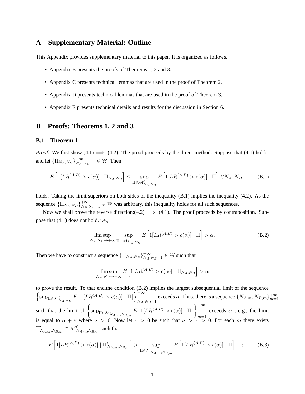## **A Supplementary Material: Outline**

This Appendix provides supplementary material to this paper. It is organized as follows.

- Appendix B presents the proofs of Theorems 1, 2 and 3.
- Appendix C presents technical lemmas that are used in the proof of Theorem 2.
- Appendix D presents technical lemmas that are used in the proof of Theorem 3.
- Appendix E presents technical details and results for the discussion in Section 6.

#### **B Proofs: Theorems 1, 2 and 3**

#### **B.1 Theorem 1**

*Proof.* We first show (4.1)  $\implies$  (4.2). The proof proceeds by the direct method. Suppose that (4.1) holds, and let  $\{\Pi_{N_A,N_B}\}_{N_A,N_B=1}^{+\infty} \in \mathbb{W}$ . Then

$$
E\left[\mathbb{1}[LR^{(A,B)} > c(\alpha)] \mid \Pi_{N_A,N_B}\right] \leq \sup_{\Pi \in \mathcal{M}_{N_A,N_B}^0} E\left[\mathbb{1}[LR^{(A,B)} > c(\alpha)] \mid \Pi\right] \; \forall N_A, N_B,
$$
 (B.1)

holds. Taking the limit superiors on both sides of the inequality (B.1) implies the inequality (4.2). As the sequence  ${\{\Pi_{N_A,N_B}\}}_{N_A,N_B=1}^{+\infty} \in \mathbb{W}$  was arbitrary, this inequality holds for all such sequences.

Now we shall prove the reverse direction:(4.2)  $\implies$  (4.1). The proof proceeds by contraposition. Suppose that (4.1) does not hold, i.e.,

$$
\limsup_{N_A,N_B \to +\infty} \sup_{\Pi \in \mathcal{M}_{N_A,N_B}^0} E\left[1[LR^{(A,B)} > c(\alpha)] \mid \Pi\right] > \alpha.
$$
 (B.2)

Then we have to construct a sequence  $\{\Pi_{N_A,N_B}\}_{N_A,N_B=1}^{+\infty} \in \mathbb{W}$  such that

$$
\limsup_{N_A,N_B\to+\infty} E\left[\mathbb{1}[LR^{(A,B)} > c(\alpha)] \mid \Pi_{N_A,N_B}\right] > \alpha
$$

to prove the result. To that end,the condition (B.2) implies the largest subsequential limit of the sequence  $\left\{\sup_{\Pi \in \mathcal{M}_{N_A,N_B}^0} E\left[\mathbb{1}[LR^{(A,B)} > c(\alpha)] \mid \Pi\right]\right\}_{N_A}^{+\infty}$  $N_A, N_B = 1$  exceeds  $\alpha$ . Thus, there is a sequence  $\{N_{A,m}, N_{B,m}\}_{m=1}^{+\infty}$ such that the limit of  $\left\{ \sup_{\Pi \in \mathcal{M}_{N_{A,m},N_{B,m}}^0} E\left[1[LR^{(A,B)} > c(\alpha)] \mid \Pi\right] \right\}_{m=0}^{+\infty}$  $m=1$ exceeds  $\alpha$ ,; e.g., the limit is equal to  $\alpha + \nu$  where  $\nu > 0$ . Now let  $\epsilon > 0$  be such that  $\nu > \epsilon > 0$ . For each m there exists  $\Pi'_{N_{A,m},N_{B,m}} \in \mathcal{M}_{N_{A,m},N_{B,m}}^{0}$  such that

$$
E\left[\mathbb{1}[LR^{(A,B)} > c(\alpha)] \mid \Pi'_{N_{A,m},N_{B,m}}\right] > \sup_{\Pi \in \mathcal{M}_{N_{A,m},N_{B,m}}^0} E\left[\mathbb{1}[LR^{(A,B)} > c(\alpha)] \mid \Pi\right] - \epsilon.
$$
 (B.3)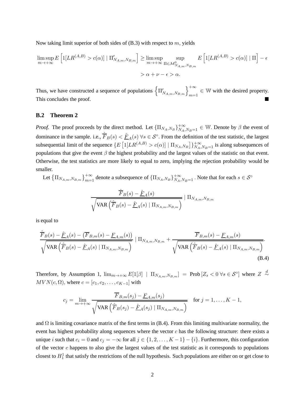Now taking limit superior of both sides of  $(B.3)$  with respect to m, yields

$$
\limsup_{m \to +\infty} E\left[1[LR^{(A,B)} > c(\alpha)] \mid \Pi'_{N_{A,m},N_{B,m}}\right] \ge \limsup_{m \to +\infty} \sup_{\Pi \in \mathcal{M}_{N_{A,m},N_{B,m}}^0} E\left[1[LR^{(A,B)} > c(\alpha)] \mid \Pi\right] - \epsilon
$$
\n
$$
> \alpha + \nu - \epsilon > \alpha.
$$

Thus, we have constructed a sequence of populations  $\left\{\Pi'_{N_{A,m},N_{B,m}}\right\}_{m=1}^{+\infty} \in \mathbb{W}$  with the desired property. This concludes the proof.

#### **B.2 Theorem 2**

*Proof.* The proof proceeds by the direct method. Let  ${\{\Pi_{N_A,N_B}\}}_{N_A,N_B=1}^{+\infty} \in \mathbb{W}$ . Denote by  $\beta$  the event of dominance in the sample. i.e.,  $\hat{F}_B(s) < \hat{F}_A(s) \,\forall s \in S^\circ$ . From the definition of the test statistic, the largest subsequential limit of the sequence  $\{E\left[1[LR^{(A,B)} > c(\alpha)] | \prod_{N_A,N_B}\right]\}_{N_A,N_B=1}^{+\infty}$  is along subsequences of populations that give the event  $\beta$  the highest probability and the largest values of the statistic on that event. Otherwise, the test statistics are more likely to equal to zero, implying the rejection probability would be smaller.

Let  $\{\Pi_{N_A,m,N_B,m}\}_{m=1}^{+\infty}$  denote a subsequence of  $\{\Pi_{N_A,N_B}\}_{N_A,N_B=1}^{+\infty}$ . Note that for each  $s \in S^{\circ}$ 

$$
\frac{\hat{\overline{F}}_B(s) - \hat{\underline{F}}_A(s)}{\sqrt{\text{VAR}\left(\hat{\overline{F}}_B(s) - \hat{\underline{F}}_A(s) \mid \Pi_{N_{A,m},N_{B,m}}\right)}} \mid \Pi_{N_{A,m},N_{B,m}}
$$

is equal to

$$
\frac{\hat{\overline{F}}_{B}(s) - \hat{\underline{F}}_{A}(s) - (\overline{F}_{B,m}(s) - \underline{F}_{A,m}(s))}{\sqrt{\text{VAR}\left(\hat{\overline{F}}_{B}(s) - \hat{\underline{F}}_{A}(s) \mid \Pi_{N_{A,m},N_{B,m}}\right)}} \mid \Pi_{N_{A,m},N_{B,m}} + \frac{\overline{\overline{F}}_{B,m}(s) - \underline{F}_{A,m}(s)}{\sqrt{\text{VAR}\left(\hat{\overline{F}}_{B}(s) - \hat{\underline{F}}_{A}(s) \mid \Pi_{N_{A,m},N_{B,m}}\right)}}.
$$
\n(B.4)

Therefore, by Assumption 1,  $\lim_{m\to+\infty} E[1[\beta] \mid \Pi_{N_{A,m},N_{B,m}}] = \text{Prob}\left[Z_s < 0 \ \forall s \in \mathcal{S}^{\circ}\right]$  where  $Z \stackrel{d}{\sim}$  $MVN(c, \Omega)$ , where  $c = [c_1, c_2, \dots, c_{K-1}]$  with

$$
c_j = \lim_{m \to +\infty} \frac{\overline{F}_{B,m}(s_j) - \underline{F}_{A,m}(s_j)}{\sqrt{\text{VAR}\left(\hat{F}_B(s_j) - \hat{F}_A(s_j) \mid \Pi_{N_{A,m},N_{B,m}}\right)}} \quad \text{for } j = 1,\dots, K-1,
$$

and  $\Omega$  is limiting covariance matrix of the first terms in (B.4). From this limiting multivariate normality, the event has highest probability along sequences where the vector  $c$  has the following structure: there exists a unique *i* such that  $c_i = 0$  and  $c_j = -\infty$  for all  $j \in \{1, 2, ..., K-1\} - \{i\}$ . Furthermore, this configuration of the vector  $c$  happens to also give the largest values of the test statistic as it corresponds to populations closest to  $H_1^1$  that satisfy the restrictions of the null hypothesis. Such populations are either on or get close to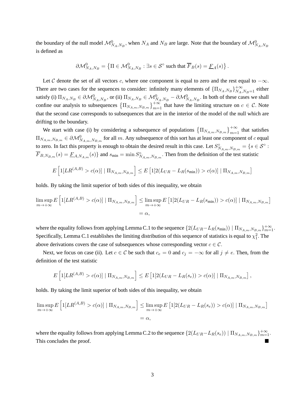the boundary of the null model  $\mathcal{M}_{N_A,N_B}^0$ , when  $N_A$  and  $N_B$  are large. Note that the boundary of  $\mathcal{M}_{N_A,N_B}^0$ is defined as

$$
\partial \mathcal{M}_{N_A,N_B}^0 = \left\{ \Pi \in \mathcal{M}_{N_A,N_B}^0 : \exists s \in \mathcal{S}^\circ \text{ such that } \overline{F}_B(s) = \underline{F}_A(s) \right\}.
$$

Let C denote the set of all vectors c, where one component is equal to zero and the rest equal to  $-\infty$ . There are two cases for the sequences to consider: infinitely many elements of  $\{\Pi_{N_A,N_B}\}_{N_A,N_B=1}^{+\infty}$  either satisfy (i)  $\Pi_{N_A,N_B} \in \partial \mathcal{M}_{N_A,N_B}^0$ , or (ii)  $\Pi_{N_A,N_B} \in \mathcal{M}_{N_A,N_B}^0 - \partial \mathcal{M}_{N_A,N_B}^0$ . In both of these cases we shall confine our analysis to subsequences  $\left\{\Pi_{N_{A,m},N_{B,m}}\right\}_{m=1}^{+\infty}$  that have the limiting structure on  $c \in \mathcal{C}$ . Note that the second case corresponds to subsequences that are in the interior of the model of the null which are drifting to the boundary.

We start with case (i) by considering a subsequence of populations  $\{\Pi_{N_{A,m},N_{B,m}}\}_{m=1}^{+\infty}$  that satisfies  $\Pi_{N_{A,m},N_{B,m}} \in \partial \mathcal{M}_{N_{A,m},N_{B,m}}^0$  for all m. Any subsequence of this sort has at least one component of c equal to zero. In fact this property is enough to obtain the desired result in this case. Let  $S_{N_{A,m},N_{B,m}}^{\circ} = \{s \in S^{\circ} : S^{\circ} \times S^{\circ} \}$  $\overline{F}_{B,N_{B,m}}(s) = \underline{F}_{A,N_{A,m}}(s)$  and  $s_{\min} = \min S_{N_{A,m},N_{B,m}}^{\circ}$ . Then from the definition of the test statistic

$$
E\left[1[LR^{(A,B)} > c(\alpha)] | \Pi_{N_{A,m},N_{B,m}}\right] \le E\left[1[2(L_{UR} - L_R(s_{\min})) > c(\alpha)] | \Pi_{N_{A,m},N_{B,m}}\right]
$$

holds. By taking the limit superior of both sides of this inequality, we obtain

$$
\limsup_{m \to +\infty} E\left[\mathbb{1}[LR^{(A,B)} > c(\alpha)] \mid \Pi_{N_{A,m},N_{B,m}}\right] \leq \limsup_{m \to +\infty} E\left[\mathbb{1}[2(L_{UR} - L_R(s_{\min})) > c(\alpha)] \mid \Pi_{N_{A,m},N_{B,m}}\right]
$$
\n
$$
= \alpha,
$$

where the equality follows from applying Lemma C.1 to the sequence  $\{2(L_{UR}-L_R(s_{min})) \mid \prod_{N_{A,m},N_{B,m}}\}_{m=1}^{+\infty}$ . Specifically, Lemma C.1 establishes the limiting distribution of this sequence of statistics is equal to  $\chi_1^2$ . The above derivations covers the case of subsequences whose corresponding vector  $c \in \mathcal{C}$ .

Next, we focus on case (ii). Let  $c \in C$  be such that  $c_e = 0$  and  $c_j = -\infty$  for all  $j \neq e$ . Then, from the definition of the test statistic

$$
E\left[1[LR^{(A,B)} > c(\alpha)] | \Pi_{N_{A,m},N_{B,m}}\right] \leq E\left[1[2(L_{UR} - L_R(s_e)) > c(\alpha)] | \Pi_{N_{A,m},N_{B,m}}\right],
$$

holds. By taking the limit superior of both sides of this inequality, we obtain

$$
\limsup_{m \to +\infty} E\left[1[LR^{(A,B)} > c(\alpha)] \mid \Pi_{N_{A,m},N_{B,m}}\right] \leq \limsup_{m \to +\infty} E\left[1[2(L_{UR} - L_R(s_e)) > c(\alpha)] \mid \Pi_{N_{A,m},N_{B,m}}\right]
$$

$$
= \alpha,
$$

where the equality follows from applying Lemma C.2 to the sequence  $\{2(L_{UR}-L_R(s_e)) \mid \prod_{N_{A,m},N_{B,m}}\}_{m=1}^{+\infty}$ . This concludes the proof.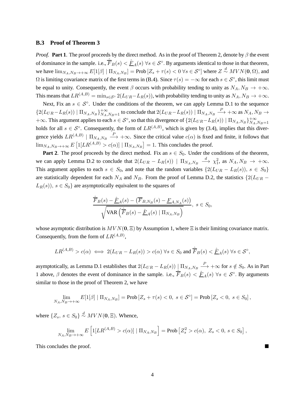#### **B.3 Proof of Theorem 3**

*Proof.* **Part 1**. The proof proceeds by the direct method. As in the proof of Theorem 2, denote by  $\beta$  the event of dominance in the sample. i.e.,  $\hat{F}_B(s) < \hat{F}_A(s)$   $\forall s \in S^\circ$ . By arguments identical to those in that theorem, we have  $\lim_{N_A,N_B\to+\infty} E[1[\beta] \mid \Pi_{N_A,N_B}] = \text{Prob}\left[Z_s + \tau(s) < 0 \,\forall s \in \mathcal{S}^{\circ}\right]$  where  $Z \stackrel{d}{\sim} MVN(\mathbf{0},\Omega)$ , and  $\Omega$  is limiting covariance matrix of the first terms in (B.4). Since  $\tau(s) = -\infty$  for each  $s \in S^{\circ}$ , this limit must be equal to unity. Consequently, the event  $\beta$  occurs with probability tending to unity as  $N_A, N_B \to +\infty$ . This means that  $LR^{(A,B)} = \min_{s \in \mathcal{S}^{\circ}} 2(L_{UR} - L_R(s))$ , with probability tending to unity as  $N_A, N_B \to +\infty$ .

Next, Fix an  $s \in S^{\circ}$ . Under the conditions of the theorem, we can apply Lemma D.1 to the sequence  $\{2(L_{UR}-L_R(s)) | \Pi_{N_A,N_B}\}_{N_A,N_B=1}^{+\infty}$  to conclude that  $2(L_{UR}-L_R(s)) | \Pi_{N_A,N_B} \stackrel{P}{\longrightarrow} +\infty$  as  $N_A, N_B \to N_A$  $+\infty$ . This argument applies to each  $s \in S^{\circ}$ , so that this divergence of  $\{2(L_{UR}-L_R(s)) \mid \prod_{N_A,N_B}\}_{N_A}^{+\infty}$  $N_A, N_B = 1$ holds for all  $s \in S^{\circ}$ . Consequently, the form of  $LR^{(A,B)}$ , which is given by (3.4), implies that this divergence yields  $LR^{(A,B)} | \Pi_{N_A,N_B} \longrightarrow +\infty$ . Since the critical value  $c(\alpha)$  is fixed and finite, it follows that  $\lim_{N_A,N_B\to+\infty} E\left[1[LR^{(A,B)} > c(\alpha)] \mid \Pi_{N_A,N_B}\right] = 1$ . This concludes the proof.

**Part 2**. The proof proceeds by the direct method. Fix an  $s \in S_0$ . Under the conditions of the theorem, we can apply Lemma D.2 to conclude that  $2(L_{UR} - L_R(s))$  |  $\Pi_{N_A,N_B} \stackrel{d}{\longrightarrow} \chi_1^2$ , as  $N_A, N_B \rightarrow +\infty$ . This argument applies to each  $s \in S_0$ , and note that the random variables  $\{2(L_{UR} - L_R(s)), s \in S_0\}$ are statistically dependent for each  $N_A$  and  $N_B$ . From the proof of Lemma D.2, the statistics  $\{2(L_{UR} L_R(s)$ ,  $s \in S_0$  are asymptotically equivalent to the squares of

$$
\frac{\hat{F}_B(s) - \hat{\underline{F}}_A(s) - (\overline{F}_{B,N_B}(s) - \underline{F}_{A,N_A}(s))}{\sqrt{\text{VAR}\left(\hat{\overline{F}}_B(s) - \hat{\underline{F}}_A(s) \mid \Pi_{N_A,N_B}\right)}}, \ s \in S_0,
$$

whose asymptotic distribution is  $MVN(0, \Xi)$  by Assumption 1, where  $\Xi$  is their limiting covariance matrix. Consequently, from the form of  $LR^{(A,B)}$ ,

$$
LR^{(A,B)} > c(\alpha) \iff 2(L_{UR} - L_R(s)) > c(\alpha) \ \forall s \in S_0 \ \text{and} \ \hat{\overline{F}}_B(s) < \hat{\underline{F}}_A(s) \ \forall s \in \mathcal{S}^\circ,
$$

asymptotically, as Lemma D.1 establishes that  $2(L_{UR} - L_R(s)) \parallel \Pi_{N_A,N_B} \stackrel{P}{\longrightarrow} +\infty$  for  $s \notin S_0$ . As in Part 1 above,  $\beta$  denotes the event of dominance in the sample. i.e.,  $\hat{F}_B(s) < \hat{F}_A(s) \ \forall s \in S^\circ$ . By arguments similar to those in the proof of Theorem 2, we have

$$
\lim_{N_A,N_B\to+\infty} E[1[\beta] \mid \Pi_{N_A,N_B}] = \text{Prob}\left[Z_s + \tau(s) < 0, \ s \in \mathcal{S}^\circ\right] = \text{Prob}\left[Z_s < 0, \ s \in S_0\right],
$$

where  $\{Z_s, s \in S_0\} \stackrel{d}{\sim} MVN(\mathbf{0}, \Xi)$ . Whence,

$$
\lim_{N_A,N_B\to+\infty} E\left[\mathbb{1}[LR^{(A,B)} > c(\alpha)] \mid \Pi_{N_A,N_B}\right] = \text{Prob}\left[Z_s^2 > c(\alpha), Z_s < 0, s \in S_0\right],
$$

This concludes the proof.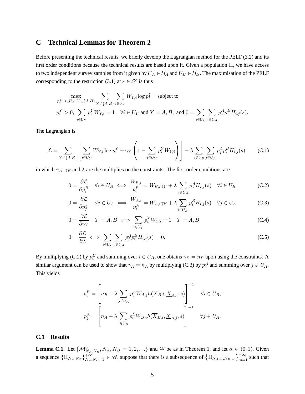# **C Technical Lemmas for Theorem 2**

Before presenting the technical results, we briefly develop the Lagrangian method for the PELF (3.2) and its first order conditions because the technical results are based upon it. Given a population  $\Pi$ , we have access to two independent survey samples from it given by  $U_A \in \mathcal{U}_A$  and  $U_B \in \mathcal{U}_B$ . The maximisation of the PELF corresponding to the restriction (3.1) at  $s \in S^{\circ}$  is thus

$$
\label{eq:1} \begin{aligned} &\max_{p_i^Y: \; i \in U_Y, \: Y \in \{A,B\}} \sum_{Y \in \{A,B\}} \sum_{i \in U_Y} W_{Y,i} \log p_i^Y \quad \text{subject to}\\ &p_i^Y > 0, \: \sum_{i \in U_Y} p_i^Y W_{Y,i} = 1 \quad \forall i \in U_Y \text{ and } Y = A,B, \text{ and } 0 = \sum_{i \in U_B} \sum_{j \in U_A} p_j^A p_i^B H_{i,j}(s). \end{aligned}
$$

The Lagrangian is

$$
\mathcal{L} = \sum_{Y \in \{A,B\}} \left[ \sum_{i \in U_Y} W_{Y,i} \log p_i^Y + \gamma_Y \left( 1 - \sum_{i \in U_Y} p_i^Y W_{Y,i} \right) \right] - \lambda \sum_{i \in U_B} \sum_{j \in U_A} p_j^A p_i^B H_{i,j}(s) \tag{C.1}
$$

in which  $\gamma_A, \gamma_B$  and  $\lambda$  are the multiplies on the constraints. The first order conditions are

$$
0 = \frac{\partial \mathcal{L}}{\partial p_i^B} \quad \forall i \in U_B \iff \frac{W_{B,i}}{p_i^B} = W_{B,i}\gamma_Y + \lambda \sum_{j \in U_A} p_j^A H_{i,j}(s) \quad \forall i \in U_B \tag{C.2}
$$

$$
0 = \frac{\partial \mathcal{L}}{\partial p_j^Y} \quad \forall j \in U_A \iff \frac{W_{A,i}}{p_i^A} = W_{A,i}\gamma_Y + \lambda \sum_{i \in U_B} p_i^B H_{i,j}(s) \quad \forall j \in U_A \tag{C.3}
$$

$$
0 = \frac{\partial \mathcal{L}}{\partial \gamma_Y} \quad Y = A, B \iff \sum_{i \in U_Y} p_i^Y W_{Y,i} = 1 \quad Y = A, B \tag{C.4}
$$

$$
0 = \frac{\partial \mathcal{L}}{\partial \lambda} \iff \sum_{i \in U_B} \sum_{j \in U_A} p_j^A p_i^B H_{i,j}(s) = 0.
$$
 (C.5)

By multiplying (C.2) by  $p_i^B$  and summing over  $i \in U_B$ , one obtains  $\gamma_B = n_B$  upon using the constraints. A similar argument can be used to show that  $\gamma_A = n_A$  by multiplying (C.3) by  $p_j^A$  and summing over  $j \in U_A$ . This yields

$$
p_i^B = \left[ n_B + \lambda \sum_{j \in U_A} p_j^A W_{A,j} h(\overline{X}_{B,i}, \underline{X}_{A,j}, s) \right]^{-1} \quad \forall i \in U_B,
$$
  

$$
p_j^A = \left[ n_A + \lambda \sum_{i \in U_B} p_i^B W_{B,i} h(\overline{X}_{B,i}, \underline{X}_{A,j}, s) \right]^{-1} \quad \forall j \in U_A.
$$

#### **C.1 Results**

**Lemma C.1.** Let  $\{\mathcal{M}_{N_A,N_B}^0, N_A, N_B = 1, 2, ...\}$  and W be as in Theorem 1, and let  $\alpha \in (0,1)$ . Given a sequence  ${\{\Pi_{N_A,N_B}\}}_{N_A,N_B=1}^{+\infty} \in \mathbb{W}$ , suppose that there is a subsequence of  ${\{\Pi_{N_{A,m},N_{B,m}}\}}_{m=1}^{+\infty}$  such that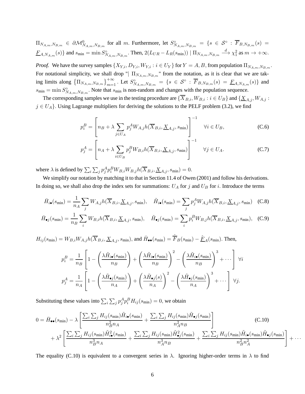$\Pi_{N_{A,m},N_{B,m}} \in \partial \mathcal{M}_{N_{A,m},N_{B,m}}^{0}$  for all m. Furthermore, let  $S_{N_{A,m},N_{B,m}}^{\circ} = \{s \in \mathcal{S}^{\circ} : \overline{F}_{B,N_{B,m}}(s) =$  $F_{A,N_{A,m}}(s)$ } and  $s_{\min} = \min S^{\circ}_{N_{A,m},N_{B,m}}$ . Then,  $2(L_{UR} - L_R(s_{\min})) | \Pi_{N_{A,m},N_{B,m}} \stackrel{d}{\longrightarrow} \chi_1^2$  as  $m \to +\infty$ .

*Proof.* We have the survey samples  $\{X_{Y,i}, D_{Y,i}, W_{Y,i} : i \in U_Y\}$  for  $Y = A, B$ , from population  $\Pi_{N_{A,m}, N_{B,m}}$ . For notational simplicity, we shall drop " $\prod_{N_A,m,N_B,m}$ " from the notation, as it is clear that we are taking limits along  $\{\Pi_{N_{A,m},N_{B,m}}\}_{m=1}^{+\infty}$ . Let  $S_{N_{A,m},N_{B,m}}^{\circ} = \{s \in S^{\circ} : \overline{F}_{B,N_{B,m}}(s) = \underline{F}_{A,N_{A,m}}(s)\}\$  and  $s_{\min} = \min S_{N_{A,m},N_{B,m}}^{\circ}$ . Note that  $s_{\min}$  is non-random and changes with the population sequence.

The corresponding samples we use in the testing procedure are  ${\{\overline{X}_{B,i}, W_{B,i} : i \in U_B\}}$  and  ${\{\underline{X}_{A,j}, W_{A,j} : i \in U_B\}}$  $j \in U_A$ . Using Lagrange multipliers for deriving the solutions to the PELF problem (3.2), we find

$$
p_i^B = \left[ n_B + \lambda \sum_{j \in U_A} p_j^A W_{A,j} h(\overline{X}_{B,i}, \underline{X}_{A,j}, s_{\min}) \right]^{-1} \quad \forall i \in U_B,
$$
 (C.6)

$$
p_j^A = \left[ n_A + \lambda \sum_{i \in U_B} p_j^B W_{B,i} h(\overline{X}_{B,i}, \underline{X}_{A,j}, s_{\min}) \right]^{-1} \quad \forall j \in U_A.
$$
 (C.7)

where  $\lambda$  is defined by  $\sum_i \sum_j p_j^A p_i^B W_{B,i} W_{B,j} h(\overline{X}_{B,i}, \underline{X}_{A,j}, s_{\min}) = 0.$ 

We simplify our notation by matching it to that in Section 11.4 of Owen (2001) and follow his derivations. In doing so, we shall also drop the index sets for summations:  $U_A$  for j and  $U_B$  for i. Introduce the terms

$$
\bar{H}_{i\bullet}(s_{\min}) = \frac{1}{n_A} \sum_{j} W_{A,j} h(\overline{X}_{B,i}, \underline{X}_{A,j}, s_{\min}), \quad \tilde{H}_{i\bullet}(s_{\min}) = \sum_{j} p_j^A W_{A,j} h(\overline{X}_{B,i}, \underline{X}_{A,j}, s_{\min}) \quad \text{(C.8)}
$$

$$
\bar{H}_{\bullet j}(s_{\min}) = \frac{1}{n_B} \sum_{i} W_{B,i} h(\overline{X}_{B,i}, \underline{X}_{A,j}, s_{\min}), \quad \tilde{H}_{\bullet j}(s_{\min}) = \sum_{i} p_i^B W_{B,j} h(\overline{X}_{B,i}, \underline{X}_{A,j}, s_{\min}), \quad \text{(C.9)}
$$

 $H_{ij}(s_{\min}) = W_{B,i}W_{A,j}h(\overline{X}_{B,i}, \underline{X}_{A,j}, s_{\min}),$  and  $\bar{H}_{\bullet \bullet}(s_{\min}) = \hat{\overline{F}}_B(s_{\min}) - \hat{\underline{F}}_A(s_{\min}).$  Then,

$$
p_i^B = \frac{1}{n_B} \left[ 1 - \left( \frac{\lambda \tilde{H}_{i\bullet}(s_{\min})}{n_B} \right) + \left( \frac{\lambda \tilde{H}_{i\bullet}(s_{\min})}{n_B} \right)^2 - \left( \frac{\lambda \tilde{H}_{i\bullet}(s_{\min})}{n_B} \right)^3 + \cdots \right] \ \forall i
$$
  

$$
p_j^A = \frac{1}{n_A} \left[ 1 - \left( \frac{\lambda \tilde{H}_{\bullet j}(s_{\min})}{n_A} \right) + \left( \frac{\lambda \tilde{H}_{\bullet j}(s)}{n_A} \right)^2 - \left( \frac{\lambda \tilde{H}_{\bullet j}(s_{\min})}{n_A} \right)^3 + \cdots \right] \ \forall j.
$$

Substituting these values into  $\sum_i \sum_j p_j^A p_i^B H_{ij}(s_{\text{min}}) = 0$ , we obtain

$$
0 = \bar{H}_{\bullet\bullet}(s_{\min}) - \lambda \left[ \frac{\sum_{i} \sum_{j} H_{ij}(s_{\min}) \tilde{H}_{i\bullet}(s_{\min})}{n_{B}^{2} n_{A}} + \frac{\sum_{i} \sum_{j} H_{ij}(s_{\min}) \tilde{H}_{\bullet j}(s_{\min})}{n_{A}^{2} n_{B}} \right]
$$
(C.10)  
+ 
$$
\lambda^{2} \left[ \frac{\sum_{i} \sum_{j} H_{ij}(s_{\min}) \tilde{H}_{i\bullet}^{2}(s_{\min})}{n_{B}^{3} n_{A}} + \frac{\sum_{i} \sum_{j} H_{ij}(s_{\min}) \tilde{H}_{\bullet j}(s_{\min})}{n_{A}^{3} n_{B}} + \frac{\sum_{i} \sum_{j} H_{ij}(s_{\min}) \tilde{H}_{i\bullet}(s_{\min}) \tilde{H}_{\bullet j}(s_{\min})}{n_{B}^{2} n_{A}^{2}} \right] + \cdots
$$

The equality (C.10) is equivalent to a convergent series in  $\lambda$ . Ignoring higher-order terms in  $\lambda$  to find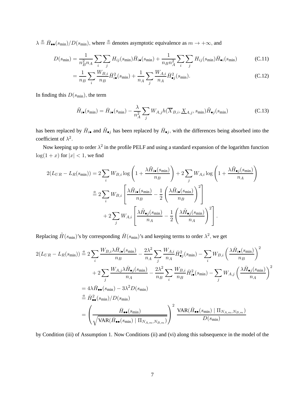$\lambda \stackrel{a}{=} \bar{H}_{\bullet \bullet}(s_{\min})/D(s_{\min}),$  where  $\stackrel{a}{=}$  denotes asymptotic equivalence as  $m \to +\infty$ , and

$$
D(s_{\min}) = \frac{1}{n_B^2 n_A} \sum_i \sum_j H_{ij}(s_{\min}) \bar{H}_{i\bullet}(s_{\min}) + \frac{1}{n_B n_A^2} \sum_i \sum_j H_{ij}(s_{\min}) \bar{H}_{\bullet i}(s_{\min})
$$
(C.11)

$$
=\frac{1}{n_B}\sum_{i}\frac{W_{B,i}}{n_B}\bar{H}_{i\bullet}^2(s_{\min})+\frac{1}{n_A}\sum_{j}\frac{W_{A,i}}{n_A}\bar{H}_{\bullet j}^2(s_{\min}).\tag{C.12}
$$

In finding this  $D(s_{\text{min}})$ , the term

$$
\tilde{H}_{i\bullet}(s_{\min}) = \bar{H}_{i\bullet}(s_{\min}) - \frac{\lambda}{n_A^2} \sum_j W_{A,j} h(\overline{X}_{B,i}, \underline{X}_{A,j}, s_{\min}) \tilde{H}_{\bullet j}(s_{\min})
$$
\n(C.13)

has been replaced by  $\bar{H}_{i\bullet}$  and  $\tilde{H}_{\bullet j}$  has been replaced by  $\bar{H}_{\bullet j}$ , with the differences being absorbed into the coefficient of  $\lambda^2$ .

Now keeping up to order  $\lambda^2$  in the profile PELF and using a standard expansion of the logarithm function  $log(1 + x)$  for  $|x| < 1$ , we find

$$
2(L_{UR} - L_R(s_{\min})) = 2\sum_{i} W_{B,i} \log \left( 1 + \frac{\lambda \tilde{H}_{i\bullet}(s_{\min})}{n_B} \right) + 2\sum_{j} W_{A,i} \log \left( 1 + \frac{\lambda \tilde{H}_{\bullet j}(s_{\min})}{n_A} \right)
$$

$$
\stackrel{a}{=} 2\sum_{i} W_{B,i} \left[ \frac{\lambda \tilde{H}_{i\bullet}(s_{\min})}{n_B} - \frac{1}{2} \left( \frac{\lambda \tilde{H}_{i\bullet}(s_{\min})}{n_B} \right)^2 \right]
$$

$$
+ 2\sum_{j} W_{A,i} \left[ \frac{\lambda \tilde{H}_{\bullet j}(s_{\min})}{n_A} - \frac{1}{2} \left( \frac{\lambda \tilde{H}_{\bullet j}(s_{\min})}{n_A} \right)^2 \right].
$$

Replacing  $\tilde{H}(s_{\text{min}})$ 's by corresponding  $\bar{H}(s_{\text{min}})$ 's and keeping terms to order  $\lambda^2$ , we get

$$
2(L_{UR} - L_R(s_{\min})) \stackrel{a}{=} 2 \sum_{i} \frac{W_{B,i} \lambda \bar{H}_{i\bullet}(s_{\min})}{n_B} - \frac{2\lambda^2}{n_A} \sum_{j} \frac{W_{A,i}}{n_A} \bar{H}_{\bullet j}^2(s_{\min}) - \sum_{i} W_{B,i} \left(\frac{\lambda \bar{H}_{i\bullet}(s_{\min})}{n_B}\right)^2
$$
  
+ 
$$
2 \sum_{j} \frac{W_{A,j} \lambda \bar{H}_{\bullet j}(s_{\min})}{n_A} - \frac{2\lambda^2}{n_B} \sum_{i} \frac{W_{B,i}}{n_B} \bar{H}_{i\bullet}^2(s_{\min}) - \sum_{j} W_{A,j} \left(\frac{\lambda \bar{H}_{\bullet j}(s_{\min})}{n_A}\right)^2
$$
  
= 
$$
4\lambda \bar{H}_{\bullet\bullet}(s_{\min}) - 3\lambda^2 D(s_{\min})
$$
  

$$
\stackrel{a}{=} \bar{H}_{\bullet\bullet}^2(s_{\min}) / D(s_{\min})
$$
  
= 
$$
\left(\frac{\bar{H}_{\bullet\bullet}(s_{\min})}{\sqrt{\text{VAR}(\bar{H}_{\bullet\bullet}(s_{\min}) \mid \Pi_{N_{A,m},N_{B,m}})}}\right)^2 \frac{\text{VAR}(\bar{H}_{\bullet\bullet}(s_{\min}) \mid \Pi_{N_{A,m},N_{B,m}})}{D(s_{\min})}
$$

by Condition (iii) of Assumption 1. Now Conditions (ii) and (vi) along this subsequence in the model of the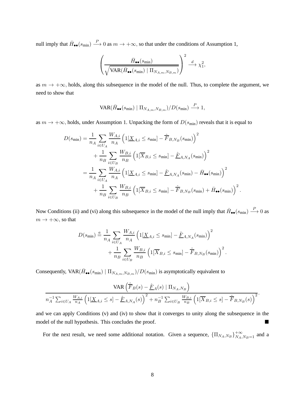null imply that  $\bar{H}_{\bullet\bullet}(s_{\min}) \stackrel{P}{\longrightarrow} 0$  as  $m \to +\infty$ , so that under the conditions of Assumption 1,

$$
\left(\frac{\bar{H}_{\bullet\bullet}(s_{\min})}{\sqrt{\text{VAR}(\bar{H}_{\bullet\bullet}(s_{\min}) \mid \Pi_{N_{A,m},N_{B,m}})}}\right)^2 \stackrel{d}{\longrightarrow} \chi_1^2,
$$

as  $m \to +\infty$ , holds, along this subsequence in the model of the null. Thus, to complete the argument, we need to show that

$$
\text{VAR}(\bar{H}_{\bullet \bullet}(s_{\min}) \mid \Pi_{N_{A,m}, N_{B,m}})/D(s_{\min}) \stackrel{P}{\longrightarrow} 1,
$$

as  $m \to +\infty$ , holds, under Assumption 1. Unpacking the form of  $D(s_{\text{min}})$  reveals that it is equal to

$$
D(s_{\min}) = \frac{1}{n_A} \sum_{i \in U_A} \frac{W_{A,i}}{n_A} \left( 1[\underline{X}_{A,i} \le s_{\min}] - \hat{\overline{F}}_{B,N_B}(s_{\min}) \right)^2
$$
  
+ 
$$
\frac{1}{n_B} \sum_{i \in U_B} \frac{W_{B,i}}{n_B} \left( 1[\overline{X}_{B,i} \le s_{\min}] - \hat{\underline{F}}_{A,N_A}(s_{\min}) \right)^2
$$
  
= 
$$
\frac{1}{n_A} \sum_{i \in U_A} \frac{W_{A,i}}{n_A} \left( 1[\underline{X}_{A,i} \le s_{\min}] - \hat{\underline{F}}_{A,N_A}(s_{\min}) - \bar{H}_{\bullet \bullet}(s_{\min}) \right)^2
$$
  
+ 
$$
\frac{1}{n_B} \sum_{i \in U_B} \frac{W_{B,i}}{n_B} \left( 1[\overline{X}_{B,i} \le s_{\min}] - \hat{\overline{F}}_{B,N_B}(s_{\min}) + \bar{H}_{\bullet \bullet}(s_{\min}) \right)^2.
$$

Now Conditions (ii) and (vi) along this subsequence in the model of the null imply that  $\bar{H}_{\bullet\bullet}(s_{\min}) \stackrel{P}{\longrightarrow} 0$  as  $m \to +\infty$ , so that

$$
D(s_{\min}) \stackrel{a}{=} \frac{1}{n_A} \sum_{i \in U_A} \frac{W_{A,i}}{n_A} \left( 1[\underline{X}_{A,i} \le s_{\min}] - \underline{\hat{F}}_{A,N_A}(s_{\min}) \right)^2 + \frac{1}{n_B} \sum_{i \in U_B} \frac{W_{B,i}}{n_B} \left( 1[\overline{X}_{B,i} \le s_{\min}] - \overline{\hat{F}}_{B,N_B}(s_{\min}) \right)^2.
$$

Consequently,  $VAR(\bar{H}_{\bullet \bullet}(s_{\min}) | \Pi_{N_{A,m}, N_{B,m}})/D(s_{\min})$  is asymptotically equivalent to

$$
\frac{\text{VAR}\left(\hat{\overline{F}}_B(s) - \hat{\underline{F}}_A(s) \mid \Pi_{N_A,N_B}\right)}{n_A^{-1} \sum_{i \in U_A} \frac{W_{A,i}}{n_A} \left(1[\underline{X}_{A,i} \le s] - \hat{\underline{F}}_{A,N_A}(s)\right)^2 + n_B^{-1} \sum_{i \in U_B} \frac{W_{B,i}}{n_B} \left(1[\overline{X}_{B,i} \le s] - \hat{\overline{F}}_{B,N_B}(s)\right)^2}.
$$

and we can apply Conditions (v) and (iv) to show that it converges to unity along the subsequence in the model of the null hypothesis. This concludes the proof.

For the next result, we need some additional notation. Given a sequence,  $\{\Pi_{N_A,N_B}\}_{N_A,N_B=1}^{+\infty}$  and a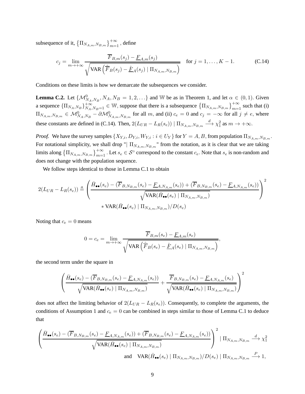subsequence of it,  $\left\{\Pi_{N_{A,m},N_{B,m}}\right\}_{m=1}^{+\infty}$  , define

$$
c_j = \lim_{m \to +\infty} \frac{\overline{F}_{B,m}(s_j) - \underline{F}_{A,m}(s_j)}{\sqrt{\text{VAR}\left(\hat{\overline{F}}_B(s_j) - \hat{\underline{F}}_A(s_j) \mid \Pi_{N_{A,m},N_{B,m}}\right)}} \quad \text{for } j = 1, \dots, K-1.
$$
 (C.14)

Conditions on these limits is how we demarcate the subsequences we consider.

**Lemma C.2.** Let  $\{\mathcal{M}_{N_A,N_B}^0, N_A, N_B = 1, 2, ...\}$  and W be as in Theorem 1, and let  $\alpha \in (0,1)$ . Given a sequence  ${\{\Pi_{N_A,N_B}\}}_{N_A,N_B=1}^{+\infty} \in \mathbb{W}$ , suppose that there is a subsequence  ${\{\Pi_{N_{A,m},N_{B,m}}\}}_{m=1}^{+\infty}$  such that (i)  $\Pi_{N_{A,m},N_{B,m}} \in \mathcal{M}_{N_A,N_B}^0 - \partial \mathcal{M}_{N_{A,m},N_{B,m}}^0$  for all m, and (ii)  $c_e = 0$  and  $c_j = -\infty$  for all  $j \neq e$ , where these constants are defined in (C.14). Then,  $2(L_{UR} - L_R(s_e)) | \Pi_{N_{A,m}, N_{B,m}} \stackrel{d}{\longrightarrow} \chi_1^2$  as  $m \to +\infty$ .

*Proof.* We have the survey samples  $\{X_{Y,i}, D_{Y,i}, W_{Y,i} : i \in U_Y\}$  for  $Y = A, B$ , from population  $\Pi_{N_{A,m}, N_{B,m}}$ . For notational simplicity, we shall drop " $\prod_{N_{A,m},N_{B,m}}$ " from the notation, as it is clear that we are taking limits along  $\left\{\Pi_{N_{A,m},N_{B,m}}\right\}_{m=1}^{+\infty}$ . Let  $s_e \in S^{\circ}$  correspond to the constant  $c_e$ . Note that  $s_e$  is non-random and does not change with the population sequence.

We follow steps identical to those in Lemma C.1 to obtain

$$
2(L_{UR} - L_R(s_e)) \triangleq \left(\frac{\bar{H}_{\bullet \bullet}(s_e) - (\overline{F}_{B,N_{B,m}}(s_e) - \underline{F}_{A,N_{A,m}}(s_e)) + (\overline{F}_{B,N_{B,m}}(s_e) - \underline{F}_{A,N_{A,m}}(s_e))}{\sqrt{\text{VAR}(\bar{H}_{\bullet \bullet}(s_e) \mid \Pi_{N_{A,m},N_{B,m}})}}
$$

Noting that  $c_e = 0$  means

$$
0 = c_e = \lim_{m \to +\infty} \frac{\overline{F}_{B,m}(s_e) - \underline{F}_{A,m}(s_e)}{\sqrt{\text{VAR}\left(\hat{\overline{F}}_B(s_e) - \hat{\underline{F}}_A(s_e) \mid \Pi_{N_{A,m},N_{B,m}}\right)}},
$$

the second term under the square in

$$
\left(\frac{\bar{H}_{\bullet\bullet}(s_e) - (\overline{F}_{B,N_{B,m}}(s_e) - \underline{F}_{A,N_{A,m}}(s_e))}{\sqrt{\text{VAR}(\bar{H}_{\bullet\bullet}(s_e) \mid \Pi_{N_{A,m},N_{B,m}})} } + \frac{\overline{F}_{B,N_{B,m}}(s_e) - \underline{F}_{A,N_{A,m}}(s_e)}{\sqrt{\text{VAR}(\bar{H}_{\bullet\bullet}(s_e) \mid \Pi_{N_{A,m},N_{B,m}})}}\right)^2
$$

does not affect the limiting behavior of  $2(L_{UR} - L_R(s_e))$ . Consequently, to complete the arguments, the conditions of Assumption 1 and  $c_e = 0$  can be combined in steps similar to those of Lemma C.1 to deduce that

$$
\left(\frac{\bar{H}_{\bullet\bullet}(s_e) - (\overline{F}_{B,N_{B,m}}(s_e) - \underline{F}_{A,N_{A,m}}(s_e)) + (\overline{F}_{B,N_{B,m}}(s_e) - \underline{F}_{A,N_{A,m}}(s_e))}{\sqrt{\text{VAR}(\bar{H}_{\bullet\bullet}(s_e) \mid \Pi_{N_{A,m},N_{B,m}})}}\right)^2 \mid \Pi_{N_{A,m},N_{B,m}} \stackrel{d}{\longrightarrow} \chi_1^2
$$
\nand\n
$$
\text{VAR}(\bar{H}_{\bullet\bullet}(s_e) \mid \Pi_{N_{A,m},N_{B,m}})/D(s_e) \mid \Pi_{N_{A,m},N_{B,m}} \stackrel{P}{\longrightarrow} 1,
$$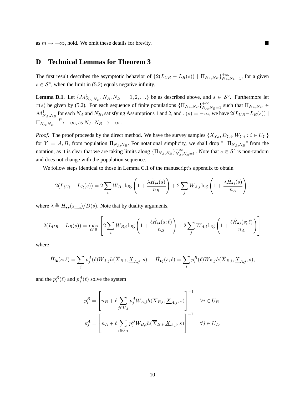as  $m \to +\infty$ , hold. We omit these details for brevity.

## **D Technical Lemmas for Theorem 3**

The first result describes the asymptotic behavior of  $\{2(L_{UR} - L_R(s)) | \Pi_{N_A,N_B}\}_{N_A,N_B=1}^{+\infty}$ , for a given  $s \in S^{\circ}$ , when the limit in (5.2) equals negative infinity.

**Lemma D.1.** Let  $\{M_{N_A,N_B}^1, N_A, N_B = 1, 2, ...\}$  be as described above, and  $s \in S^\circ$ . Furthermore let  $\tau(s)$  be given by (5.2). For each sequence of finite populations  $\{\Pi_{N_A,N_B}\}_{N_A,N_B=1}^{+\infty}$  such that  $\Pi_{N_A,N_B} \in$  $\mathcal{M}_{N_A,N_B}^1$  for each  $N_A$  and  $N_B$ , satisfying Assumptions 1 and 2, and  $\tau(s) = -\infty$ , we have  $2(L_{UR}-L_R(s))$  |  $\Pi_{N_A,N_B} \stackrel{P}{\longrightarrow} +\infty$ , as  $N_A, N_B \to +\infty$ .

*Proof.* The proof proceeds by the direct method. We have the survey samples  $\{X_{Y,i}, D_{Y,i}, W_{Y,i} : i \in U_Y\}$ for  $Y = A, B$ , from population  $\Pi_{N_A, N_B}$ . For notational simplicity, we shall drop " $\Pi_{N_A, N_B}$ " from the notation, as it is clear that we are taking limits along  $\{\Pi_{N_A,N_B}\}_{N_A,N_B=1}^{+\infty}$ . Note that  $s \in S^{\circ}$  is non-random and does not change with the population sequence.

We follow steps identical to those in Lemma C.1 of the manuscript's appendix to obtain

$$
2(L_{UR} - L_R(s)) = 2\sum_i W_{B,i} \log \left(1 + \frac{\lambda \tilde{H}_{i\bullet}(s)}{n_B}\right) + 2\sum_j W_{A,i} \log \left(1 + \frac{\lambda \tilde{H}_{\bullet j}(s)}{n_A}\right),
$$

where  $\lambda \stackrel{a}{=} \bar{H}_{\bullet \bullet}(s_{\text{min}})/D(s)$ . Note that by duality arguments,

$$
2(L_{UR} - L_R(s)) = \max_{\ell \in \mathbb{R}} \left[ 2 \sum_i W_{B,i} \log \left( 1 + \frac{\ell \acute{H}_{i\bullet}(s;\ell)}{n_B} \right) + 2 \sum_j W_{A,i} \log \left( 1 + \frac{\ell \acute{H}_{\bullet j}(s;\ell)}{n_A} \right) \right]
$$

where

$$
\hat{H}_{i\bullet}(s;\ell) = \sum_{j} p_j^A(\ell) W_{A,j} h(\overline{X}_{B,i}, \underline{X}_{A,j}, s), \quad \hat{H}_{\bullet j}(s;\ell) = \sum_{i} p_i^B(\ell) W_{B,j} h(\overline{X}_{B,i}, \underline{X}_{A,j}, s),
$$

and the  $p_i^B(\ell)$  and  $p_j^A(\ell)$  solve the system

$$
p_i^B = \left[ n_B + \ell \sum_{j \in U_A} p_j^A W_{A,j} h(\overline{X}_{B,i}, \underline{X}_{A,j}, s) \right]^{-1} \quad \forall i \in U_B,
$$
  

$$
p_j^A = \left[ n_A + \ell \sum_{i \in U_B} p_j^B W_{B,i} h(\overline{X}_{B,i}, \underline{X}_{A,j}, s) \right]^{-1} \quad \forall j \in U_A.
$$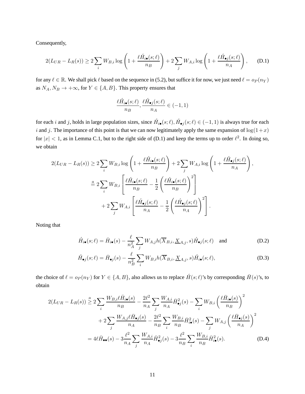Consequently,

$$
2(L_{UR} - L_R(s)) \ge 2\sum_i W_{B,i} \log\left(1 + \frac{\ell \hat{H}_{i\bullet}(s;\ell)}{n_B}\right) + 2\sum_j W_{A,i} \log\left(1 + \frac{\ell \hat{H}_{\bullet j}(s;\ell)}{n_A}\right),\tag{D.1}
$$

for any  $\ell \in \mathbb{R}$ . We shall pick  $\ell$  based on the sequence in (5.2), but suffice it for now, we just need  $\ell = o_P(n_Y)$ as  $N_A, N_B \to +\infty$ , for  $Y \in \{A, B\}$ . This property ensures that

$$
\frac{\ell \acute{H}_{i\bullet}(s;\ell)}{n_B}, \frac{\ell \acute{H}_{\bullet j}(s;\ell)}{n_A} \in (-1,1)
$$

for each i and j, holds in large population sizes, since  $H_{i\bullet}(s;\ell), H_{\bullet j}(s;\ell) \in (-1,1)$  is always true for each i and j. The importance of this point is that we can now legitimately apply the same expansion of  $\log(1+x)$ for  $|x| < 1$ , as in Lemma C.1, but to the right side of (D.1) and keep the terms up to order  $\ell^2$ . In doing so, we obtain

$$
2(L_{UR} - L_R(s)) \ge 2\sum_{i} W_{B,i} \log \left( 1 + \frac{\ell \hat{H}_{i\bullet}(s;\ell)}{n_B} \right) + 2\sum_{j} W_{A,i} \log \left( 1 + \frac{\ell \hat{H}_{\bullet j}(s;\ell)}{n_A} \right),
$$

$$
\stackrel{a}{=} 2\sum_{i} W_{B,i} \left[ \frac{\ell \hat{H}_{i\bullet}(s;\ell)}{n_B} - \frac{1}{2} \left( \frac{\ell \hat{H}_{i\bullet}(s;\ell)}{n_B} \right)^2 \right]
$$

$$
+ 2\sum_{j} W_{A,i} \left[ \frac{\ell \hat{H}_{\bullet j}(s;\ell)}{n_A} - \frac{1}{2} \left( \frac{\ell \hat{H}_{\bullet j}(s;\ell)}{n_A} \right)^2 \right].
$$

Noting that

$$
\hat{H}_{i\bullet}(s;\ell) = \bar{H}_{i\bullet}(s) - \frac{\ell}{n_A^2} \sum_j W_{A,j} h(\overline{X}_{B,i}, \underline{X}_{A,j}, s) \hat{H}_{\bullet j}(s;\ell) \text{ and } (D.2)
$$

$$
\acute{H}_{\bullet j}(s;\ell) = \bar{H}_{\bullet j}(s) - \frac{\ell}{n_B^2} \sum_i W_{B,i} h(\overline{X}_{B,i}, \underline{X}_{A,j}, s) \acute{H}_{i\bullet}(s;\ell), \tag{D.3}
$$

the choice of  $\ell = o_P(n_Y)$  for  $Y \in \{A, B\}$ , also allows us to replace  $H(s; \ell)$ 's by corresponding  $\bar{H}(s)$ 's, to obtain

$$
2(L_{UR} - L_R(s)) \stackrel{a}{\geq} 2\sum_{i} \frac{W_{B,i}\ell\bar{H}_{i\bullet}(s)}{n_B} - \frac{2\ell^2}{n_A} \sum_{j} \frac{W_{A,i}}{n_A} \bar{H}_{\bullet j}^2(s) - \sum_{i} W_{B,i} \left(\frac{\ell\bar{H}_{i\bullet}(s)}{n_B}\right)^2
$$

$$
+ 2\sum_{j} \frac{W_{A,j}\ell\bar{H}_{\bullet j}(s)}{n_A} - \frac{2\ell^2}{n_B} \sum_{i} \frac{W_{B,i}}{n_B} \bar{H}_{i\bullet}^2(s) - \sum_{j} W_{A,j} \left(\frac{\ell\bar{H}_{\bullet j}(s)}{n_A}\right)^2
$$

$$
= 4\ell\bar{H}_{\bullet\bullet}(s) - 3\frac{\ell^2}{n_A} \sum_{j} \frac{W_{A,i}}{n_A} \bar{H}_{\bullet j}^2(s) - 3\frac{\ell^2}{n_B} \sum_{i} \frac{W_{B,i}}{n_B} \bar{H}_{i\bullet}^2(s).
$$
 (D.4)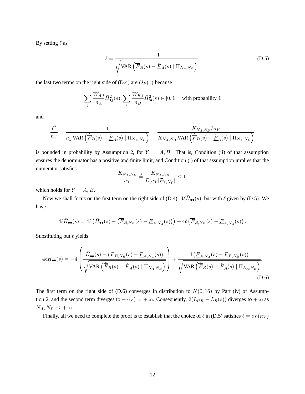By setting  $\ell$  as

$$
\ell = \frac{-1}{\sqrt{\text{VAR}\left(\hat{F}_B(s) - \hat{F}_A(s) \mid \Pi_{N_A, N_B}\right)}},\tag{D.5}
$$

the last two terms on the right side of  $(D.4)$  are  $O_P(1)$  because

$$
\sum_{j} \frac{W_{A,i}}{n_A} \bar{H}_{\bullet j}^2(s), \sum_{i} \frac{W_{B,i}}{n_B} \bar{H}_{i\bullet}^2(s) \in [0,1] \quad \text{with probability 1}
$$

and

$$
\frac{\ell^2}{n_Y}=\frac{1}{n_y\, \text{VAR}\left(\hat{\overline{F}}_B(s)-\hat{\underline{F}}_A(s)\mid \Pi_{N_A,N_B}\right)}=\frac{K_{N_A,N_B}/n_Y}{K_{N_A,N_B}\, \text{VAR}\left(\hat{\overline{F}}_B(s)-\hat{\underline{F}}_A(s)\mid \Pi_{N_A,N_B}\right)}
$$

is bounded in probability by Assumption 2, for  $Y = A, B$ . That is, Condition (ii) of that assumption ensures the denominator has a positive and finite limit, and Condition (i) of that assumption implies that the numerator satisfies

$$
\frac{K_{N_A,N_B}}{n_Y} \stackrel{a}{=} \frac{K_{N_A,N_B}}{E[n_Y|\mathcal{P}_{Y,N_Y}]} \le 1,
$$

which holds for  $Y = A, B$ .

Now we shall focus on the first term on the right side of (D.4):  $4\ell\bar{H}_{\bullet\bullet}(s)$ , but with  $\ell$  given by (D.5). We have

$$
4\ell\bar{H}_{\bullet\bullet}(s) = 4\ell\left(\bar{H}_{\bullet\bullet}(s) - \left(\overline{F}_{B,N_B}(s) - \underline{F}_{A,N_A}(s)\right)\right) + 4\ell\left(\overline{F}_{B,N_B}(s) - \underline{F}_{A,N_A}(s)\right).
$$

Substituting out  $\ell$  yields

$$
4\ell\bar{H}_{\bullet\bullet}(s) = -4\left(\frac{\bar{H}_{\bullet\bullet}(s) - (\overline{F}_{B,N_B}(s) - \underline{F}_{A,N_A}(s))}{\sqrt{\text{VAR}\left(\hat{F}_B(s) - \hat{F}_A(s) \mid \Pi_{N_A,N_B}\right)}}\right) + \frac{4\left(\underline{F}_{A,N_A}(s) - \overline{F}_{B,N_B}(s)\right)}{\sqrt{\text{VAR}\left(\hat{F}_B(s) - \hat{F}_A(s) \mid \Pi_{N_A,N_B}\right)}}.
$$
\n(D.6)

The first term on the right side of (D.6) converges in distribution to  $N(0, 16)$  by Part (iv) of Assumption 2, and the second term diverges to  $-\tau(s) = +\infty$ . Consequently,  $2(L_{UR} - L_R(s))$  diverges to  $+\infty$  as  $N_A, N_B \rightarrow +\infty.$ 

Finally, all we need to complete the proof is to establish that the choice of  $\ell$  in (D.5) satisfies  $\ell = o_P(n_Y)$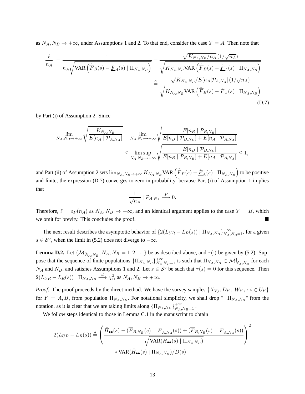as  $N_A$ ,  $N_B \rightarrow +\infty$ , under Assumptions 1 and 2. To that end, consider the case  $Y = A$ . Then note that

$$
\left| \frac{\ell}{n_A} \right| = \frac{1}{n_A \sqrt{\text{VAR} \left( \hat{F}_B(s) - \hat{F}_A(s) \mid \Pi_{N_A, N_B} \right)}} = \frac{\sqrt{K_{N_A, N_B}/n_A} \left( 1/\sqrt{n_A} \right)}{\sqrt{K_{N_A, N_B} \text{VAR} \left( \hat{F}_B(s) - \hat{F}_A(s) \mid \Pi_{N_A, N_B} \right)}}
$$

$$
= \frac{\sqrt{K_{N_A, N_B}/E[n_A|\mathcal{P}_{A,N_A}]} \left( 1/\sqrt{n_A} \right)}{\sqrt{K_{N_A, N_B} \text{VAR} \left( \hat{F}_B(s) - \hat{F}_A(s) \mid \Pi_{N_A, N_B} \right)}}
$$
(D.7)

by Part (i) of Assumption 2. Since

$$
\lim_{N_A, N_B \to +\infty} \sqrt{\frac{K_{N_A, N_B}}{E[n_A | \mathcal{P}_{A, N_A}]} = \lim_{N_A, N_B \to +\infty} \sqrt{\frac{E[n_B | \mathcal{P}_{B, N_B}]}{E[n_B | \mathcal{P}_{B, N_B}] + E[n_A | \mathcal{P}_{A, N_A}]}}}
$$
\n
$$
\leq \limsup_{N_A, N_B \to +\infty} \sqrt{\frac{E[n_B | \mathcal{P}_{B, N_B}]}{E[n_B | \mathcal{P}_{B, N_B}] + E[n_A | \mathcal{P}_{A, N_A}]} \leq 1},
$$

and Part (ii) of Assumption 2 sets  $\lim_{N_A,N_B\to+\infty} K_{N_A,N_B}$ VAR  $\left(\hat{\overline{F}}_B(s)-\hat{\underline{F}}_A(s)\mid\prod_{N_A,N_B}\right)$  to be positive and finite, the expression (D.7) converges to zero in probability, because Part (i) of Assumption 1 implies that

$$
\frac{1}{\sqrt{n_A}} \mid \mathcal{P}_{A,N_A} \stackrel{P}{\longrightarrow} 0.
$$

Therefore,  $\ell = o_P(n_A)$  as  $N_A, N_B \to +\infty$ , and an identical argument applies to the case  $Y = B$ , which we omit for brevity. This concludes the proof.

The next result describes the asymptotic behavior of  $\{2(L_{UR} - L_R(s)) | \Pi_{N_A,N_B}\}_{N_A,N_B=1}^{+\infty}$ , for a given  $s \in S^{\circ}$ , when the limit in (5.2) does not diverge to  $-\infty$ .

**Lemma D.2.** Let  $\{M^1_{N_A,N_B}, N_A, N_B = 1, 2, ...\}$  be as described above, and  $\tau(\cdot)$  be given by (5.2). Suppose that the sequence of finite populations  $\{\Pi_{N_A,N_B}\}_{N_A,N_B=1}^{+\infty}$  is such that  $\Pi_{N_A,N_B} \in \mathcal{M}_{N_A,N_B}^1$  for each  $N_A$  and  $N_B$ , and satisfies Assumptions 1 and 2. Let  $s \in S^\circ$  be such that  $\tau(s) = 0$  for this sequence. Then  $2(L_{UR} - L_R(s)) | \Pi_{N_A, N_B} \stackrel{d}{\longrightarrow} \chi_1^2$ , as  $N_A, N_B \to +\infty$ .

*Proof.* The proof proceeds by the direct method. We have the survey samples  $\{X_{Y,i}, D_{Y,i}, W_{Y,i} : i \in U_Y\}$ for  $Y = A, B$ , from population  $\Pi_{N_A, N_B}$ . For notational simplicity, we shall drop " $\Pi_{N_A, N_B}$ " from the notation, as it is clear that we are taking limits along  $\{\Pi_{N_A,N_B}\}_{N_A,N_B=1}^{+\infty}$ .

We follow steps identical to those in Lemma C.1 in the manuscript to obtain

$$
2(L_{UR} - L_R(s)) \stackrel{a}{=} \left( \frac{\bar{H}_{\bullet \bullet}(s) - (\overline{F}_{B,N_B}(s) - \underline{F}_{A,N_A}(s)) + (\overline{F}_{B,N_B}(s) - \underline{F}_{A,N_A}(s))}{\sqrt{\text{VAR}(\bar{H}_{\bullet \bullet}(s) \mid \Pi_{N_A,N_B})}} \right)^2
$$
  
 
$$
\times \text{VAR}(\bar{H}_{\bullet \bullet}(s) \mid \Pi_{N_A,N_B}) / D(s)
$$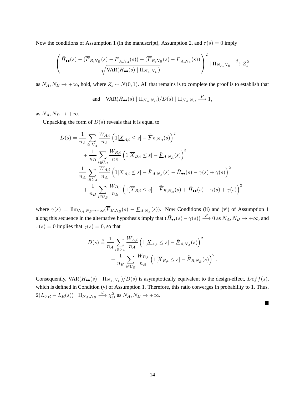Now the conditions of Assumption 1 (in the manuscript), Assumption 2, and  $\tau(s) = 0$  imply

$$
\left(\frac{\bar{H}_{\bullet\bullet}(s) - (\overline{F}_{B,N_B}(s) - \underline{F}_{A,N_A}(s)) + (\overline{F}_{B,N_B}(s) - \underline{F}_{A,N_A}(s))}{\sqrt{\text{VAR}(\bar{H}_{\bullet\bullet}(s) \mid \Pi_{N_A,N_B})}}\right)^2 \mid \Pi_{N_A,N_B} \stackrel{d}{\longrightarrow} Z_s^2
$$

as  $N_A$ ,  $N_B \to +\infty$ , hold, where  $Z_s \sim N(0, 1)$ . All that remains is to complete the proof is to establish that

and 
$$
VAR(\bar{H}_{\bullet \bullet}(s) | \Pi_{N_A, N_B}) / D(s) | \Pi_{N_A, N_B} \xrightarrow{P} 1
$$
,

as  $N_A, N_B \to +\infty$ .

Unpacking the form of  $D(s)$  reveals that it is equal to

$$
D(s) = \frac{1}{n_A} \sum_{i \in U_A} \frac{W_{A,i}}{n_A} \left( 1[\underline{X}_{A,i} \le s] - \hat{F}_{B,N_B}(s) \right)^2 + \frac{1}{n_B} \sum_{i \in U_B} \frac{W_{B,i}}{n_B} \left( 1[\overline{X}_{B,i} \le s] - \hat{F}_{A,N_A}(s) \right)^2 = \frac{1}{n_A} \sum_{i \in U_A} \frac{W_{A,i}}{n_A} \left( 1[\underline{X}_{A,i} \le s] - \hat{F}_{A,N_A}(s) - \bar{H}_{\bullet \bullet}(s) - \gamma(s) + \gamma(s) \right)^2 + \frac{1}{n_B} \sum_{i \in U_B} \frac{W_{B,i}}{n_B} \left( 1[\overline{X}_{B,i} \le s] - \hat{F}_{B,N_B}(s) + \bar{H}_{\bullet \bullet}(s) - \gamma(s) + \gamma(s) \right)^2.
$$

where  $\gamma(s) = \lim_{N_A, N_B \to +\infty} (F_{B,N_B}(s) - F_{A,N_A}(s))$ . Now Conditions (ii) and (vi) of Assumption 1 along this sequence in the alternative hypothesis imply that  $(\bar{H}_{\bullet \bullet}(s) - \gamma(s)) \stackrel{P}{\longrightarrow} 0$  as  $N_A, N_B \to +\infty$ , and  $\tau(s) = 0$  implies that  $\gamma(s) = 0$ , so that

$$
D(s) \stackrel{a}{=} \frac{1}{n_A} \sum_{i \in U_A} \frac{W_{A,i}}{n_A} \left( 1[\underline{X}_{A,i} \le s] - \underline{\hat{F}}_{A,N_A}(s) \right)^2 + \frac{1}{n_B} \sum_{i \in U_B} \frac{W_{B,i}}{n_B} \left( 1[\overline{X}_{B,i} \le s] - \overline{\hat{F}}_{B,N_B}(s) \right)^2.
$$

Consequently,  $VAR(\bar{H}_{\bullet \bullet}(s) | \Pi_{N_A,N_B})/D(s)$  is asymptotically equivalent to the design-effect,  $Deff(s)$ , which is defined in Condition (v) of Assumption 1. Therefore, this ratio converges in probability to 1. Thus,  $2(L_{UR} - L_R(s)) | \Pi_{N_A, N_B} \stackrel{d}{\longrightarrow} \chi_1^2$ , as  $N_A, N_B \to +\infty$ .

 $\blacksquare$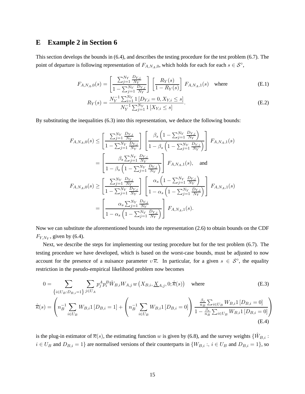# **E Example 2 in Section 6**

This section develops the bounds in (6.4), and describes the testing procedure for the test problem (6.7). The point of departure is following representation of  $F_{A,N_A,0}$ , which holds for each for each  $s \in S^{\circ}$ ,

$$
F_{A,N_A,0}(s) = \left[\frac{\sum_{j=1}^{N_Y} \frac{D_{Y,j}}{N_Y}}{1 - \sum_{j=1}^{N_Y} \frac{D_{Y,j}}{N_Y}}\right] \left[\frac{R_Y(s)}{1 - R_Y(s)}\right] F_{A,N_A,1}(s) \text{ where } (E.1)
$$

$$
R_Y(s) = \frac{N_Y^{-1} \sum_{i=1}^{N_Y} 1 \left[ D_{Y,i} = 0, X_{Y,i} \le s \right]}{N_Y^{-1} \sum_{j=1}^{N_Y} 1 \left[ X_{Y,i} \le s \right]}.
$$
\n(E.2)

By substituting the inequalities (6.3) into this representation, we deduce the following bounds:

$$
F_{A,N_A,0}(s) \leq \left[ \frac{\sum_{j=1}^{N_Y} \frac{D_{Y,j}}{N_Y}}{1 - \sum_{j=1}^{N_Y} \frac{D_{Y,j}}{N_Y}} \right] \left[ \frac{\beta_s \left( 1 - \sum_{j=1}^{N_Y} \frac{D_{Y,j}}{N_Y} \right)}{1 - \beta_s \left( 1 - \sum_{j=1}^{N_Y} \frac{D_{Y,j}}{N_Y} \right)} \right] F_{A,N_A,1}(s)
$$
  
\n
$$
= \left[ \frac{\beta_s \sum_{j=1}^{N_Y} \frac{D_{Y,j}}{N_Y}}{1 - \beta_s \left( 1 - \sum_{j=1}^{N_Y} \frac{D_{Y,j}}{N_Y} \right)} \right] F_{A,N_A,1}(s), \text{ and}
$$
  
\n
$$
F_{A,N_A,0}(s) \geq \left[ \frac{\sum_{j=1}^{N_Y} \frac{D_{Y,j}}{N_Y}}{1 - \sum_{j=1}^{N_Y} \frac{D_{Y,j}}{N_Y}} \right] \left[ \frac{\alpha_s \left( 1 - \sum_{j=1}^{N_Y} \frac{D_{Y,j}}{N_Y} \right)}{1 - \alpha_s \left( 1 - \sum_{j=1}^{N_Y} \frac{D_{Y,j}}{N_Y} \right)} \right] F_{A,N_A,1}(s)
$$
  
\n
$$
= \left[ \frac{\alpha_s \sum_{j=1}^{N_Y} \frac{D_{Y,j}}{N_Y}}{1 - \alpha_s \left( 1 - \sum_{j=1}^{N_Y} \frac{D_{Y,j}}{N_Y} \right)} \right] F_{A,N_A,1}(s).
$$

Now we can substitute the aforementioned bounds into the representation (2.6) to obtain bounds on the CDF  $F_{Y, N_Y}$ , given by (6.4).

Next, we describe the steps for implementing our testing procedure but for the test problem (6.7). The testing procedure we have developed, which is based on the worst-case bounds, must be adjusted to now account for the presence of a nuisance parameter  $v\bar{\kappa}$ . In particular, for a given  $s \in S^{\circ}$ , the equality restriction in the pseudo-empirical likelihood problem now becomes

$$
0 = \sum_{\{i \in U_B : D_{B,i} = 1\}} \sum_{j \in U_A} p_j^A p_i^B \hat{W}_{B,i} W_{A,j} w \left(X_{B,i}, \underline{X}_{A,j}, 0; \hat{\pi}(s)\right) \text{ where}
$$
(E.3)  

$$
\hat{\pi}(s) = \left(n_B^{-1} \sum_{i \in U_B} W_{B,i} 1 \left[D_{B,i} = 1\right] + \left(n_B^{-1} \sum_{i \in U_B} W_{B,i} 1 \left[D_{B,i} = 0\right]\right) \frac{\frac{\beta_s}{n_B} \sum_{i \in U_B} W_{B,i} 1 \left[D_{B,i} = 0\right]}{1 - \frac{\beta_s}{n_B} \sum_{i \in U_B} W_{B,i} 1 \left[D_{B,i} = 0\right]}\right)
$$
(E.4)

is the plug-in estimator of  $\overline{\kappa}(s)$ , the estimating function w is given by (6.8), and the survey weights  $\{\hat{W}_{B,i}:\}$  $i \in U_B$  and  $D_{B,i} = 1$  are normalised versions of their counterparts in  $\{W_{B,i} : i \in U_B \text{ and } D_{B,i} = 1\}$ , so